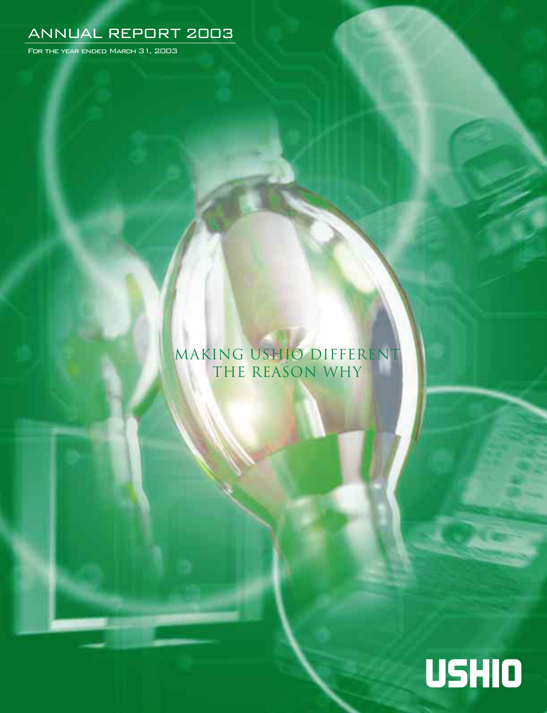# ANNUAL REPORT 2003

For the year ended March 31, 2003

# Making Ushio Different The Reason Why

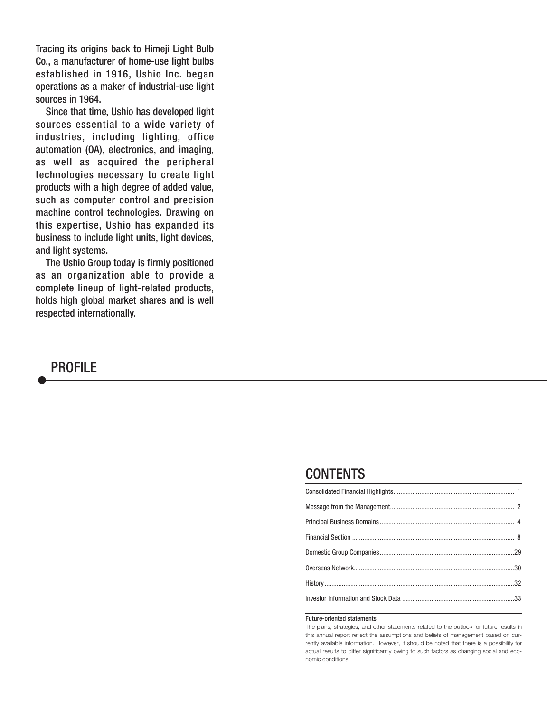Tracing its origins back to Himeji Light Bulb Co., a manufacturer of home-use light bulbs established in 1916, Ushio Inc. began operations as a maker of industrial-use light sources in 1964.

Since that time, Ushio has developed light sources essential to a wide variety of industries, including lighting, office automation (OA), electronics, and imaging, as well as acquired the peripheral technologies necessary to create light products with a high degree of added value, such as computer control and precision machine control technologies. Drawing on this expertise, Ushio has expanded its business to include light units, light devices, and light systems.

The Ushio Group today is firmly positioned as an organization able to provide a complete lineup of light-related products, holds high global market shares and is well respected internationally.



## **CONTENTS**

#### Future-oriented statements

The plans, strategies, and other statements related to the outlook for future results in this annual report reflect the assumptions and beliefs of management based on currently available information. However, it should be noted that there is a possibility for actual results to differ significantly owing to such factors as changing social and economic conditions.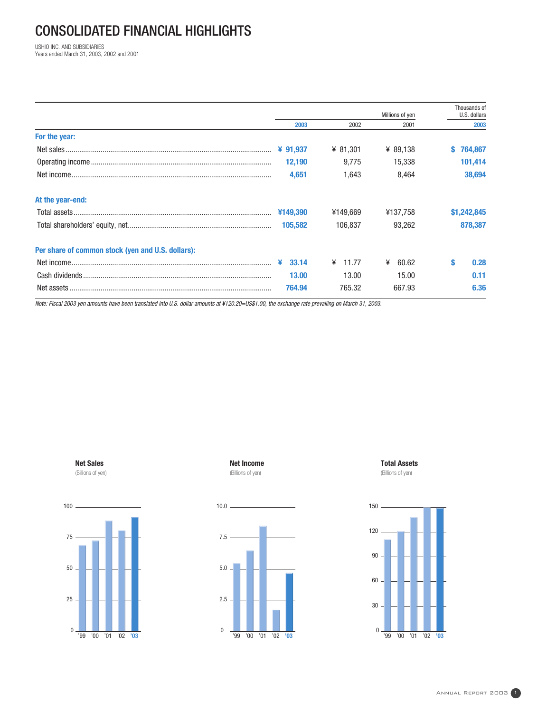# CONSOLIDATED FINANCIAL HIGHLIGHTS

USHIO INC. AND SUBSIDIARIES Years ended March 31, 2003, 2002 and 2001

|                                                   |           | Millions of yen |            | Thousands of<br>U.S. dollars |  |
|---------------------------------------------------|-----------|-----------------|------------|------------------------------|--|
|                                                   | 2003      | 2002            | 2001       | 2003                         |  |
| For the year:                                     |           |                 |            |                              |  |
|                                                   | ¥ 91,937  | ¥ 81,301        | ¥ 89,138   | 764,867                      |  |
|                                                   | 12,190    | 9.775           | 15,338     | 101,414                      |  |
|                                                   | 4,651     | 1,643           | 8,464      | 38,694                       |  |
| At the year-end:                                  |           |                 |            |                              |  |
|                                                   | ¥149,390  | ¥149.669        | ¥137,758   | \$1,242,845                  |  |
|                                                   | 105.582   | 106.837         | 93.262     | 878,387                      |  |
| Per share of common stock (yen and U.S. dollars): |           |                 |            |                              |  |
|                                                   | ¥ $33.14$ | 11.77<br>¥      | ¥<br>60.62 | S<br>0.28                    |  |
|                                                   | 13.00     | 13.00           | 15.00      | 0.11                         |  |
|                                                   | 764.94    | 765.32          | 667.93     | 6.36                         |  |

Note: Fiscal 2003 yen amounts have been translated into U.S. dollar amounts at ¥120.20=US\$1.00, the exchange rate prevailing on March 31, 2003.





**Net Income** (Billions of yen)



**Total Assets**  (Billions of yen)

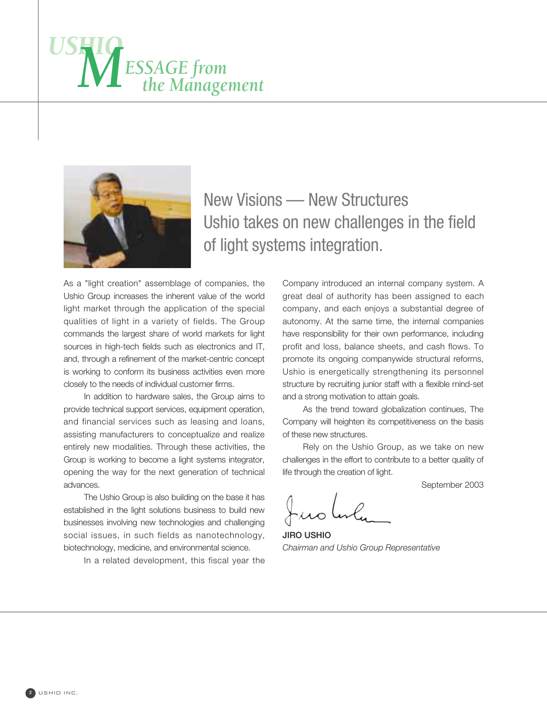



# New Visions — New Structures Ushio takes on new challenges in the field of light systems integration.

As a "light creation" assemblage of companies, the Ushio Group increases the inherent value of the world light market through the application of the special qualities of light in a variety of fields. The Group commands the largest share of world markets for light sources in high-tech fields such as electronics and IT, and, through a refinement of the market-centric concept is working to conform its business activities even more closely to the needs of individual customer firms.

In addition to hardware sales, the Group aims to provide technical support services, equipment operation, and financial services such as leasing and loans, assisting manufacturers to conceptualize and realize entirely new modalities. Through these activities, the Group is working to become a light systems integrator, opening the way for the next generation of technical advances.

The Ushio Group is also building on the base it has established in the light solutions business to build new businesses involving new technologies and challenging social issues, in such fields as nanotechnology, biotechnology, medicine, and environmental science.

In a related development, this fiscal year the

Company introduced an internal company system. A great deal of authority has been assigned to each company, and each enjoys a substantial degree of autonomy. At the same time, the internal companies have responsibility for their own performance, including profit and loss, balance sheets, and cash flows. To promote its ongoing companywide structural reforms, Ushio is energetically strengthening its personnel structure by recruiting junior staff with a flexible mind-set and a strong motivation to attain goals.

As the trend toward globalization continues, The Company will heighten its competitiveness on the basis of these new structures.

Rely on the Ushio Group, as we take on new challenges in the effort to contribute to a better quality of life through the creation of light.

September 2003

**JIRO USHIO** *Chairman and Ushio Group Representative*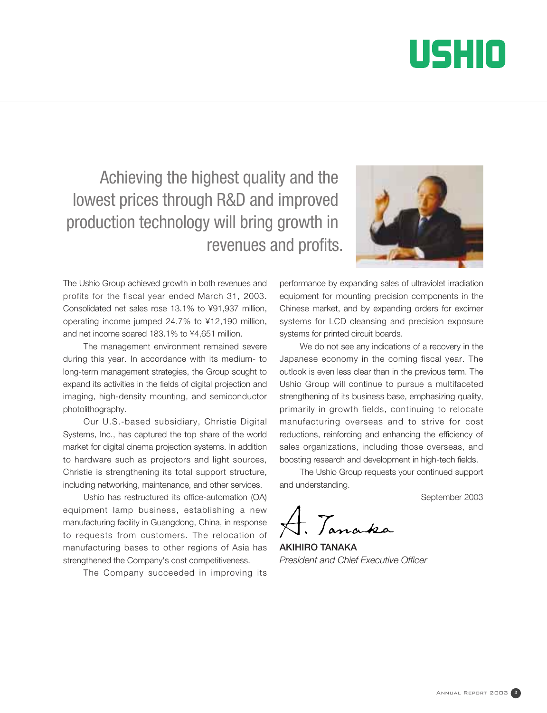

Achieving the highest quality and the lowest prices through R&D and improved production technology will bring growth in revenues and profits.



The management environment remained severe during this year. In accordance with its medium- to long-term management strategies, the Group sought to expand its activities in the fields of digital projection and imaging, high-density mounting, and semiconductor photolithography.

Our U.S.-based subsidiary, Christie Digital Systems, Inc., has captured the top share of the world market for digital cinema projection systems. In addition to hardware such as projectors and light sources, Christie is strengthening its total support structure, including networking, maintenance, and other services.

Ushio has restructured its office-automation (OA) equipment lamp business, establishing a new manufacturing facility in Guangdong, China, in response to requests from customers. The relocation of manufacturing bases to other regions of Asia has strengthened the Company's cost competitiveness.

The Company succeeded in improving its



performance by expanding sales of ultraviolet irradiation equipment for mounting precision components in the Chinese market, and by expanding orders for excimer systems for LCD cleansing and precision exposure systems for printed circuit boards.

We do not see any indications of a recovery in the Japanese economy in the coming fiscal year. The outlook is even less clear than in the previous term. The Ushio Group will continue to pursue a multifaceted strengthening of its business base, emphasizing quality, primarily in growth fields, continuing to relocate manufacturing overseas and to strive for cost reductions, reinforcing and enhancing the efficiency of sales organizations, including those overseas, and boosting research and development in high-tech fields.

The Ushio Group requests your continued support and understanding.

September 2003

anaka

**AKIHIRO TANAKA** *President and Chief Executive Officer*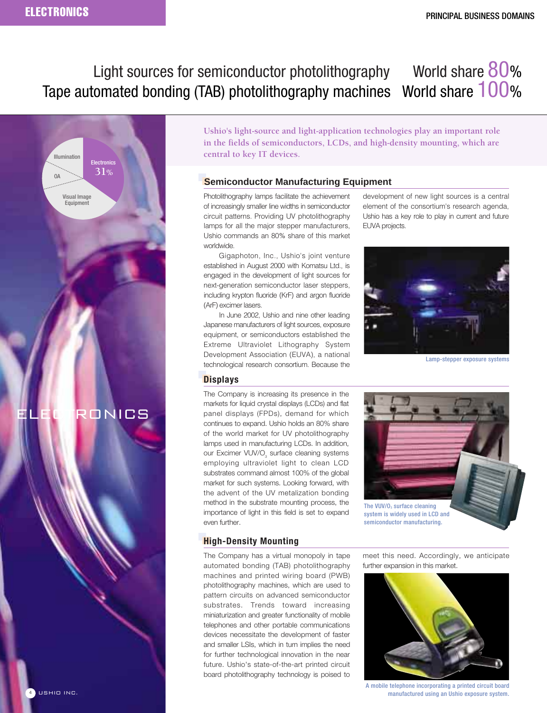# Light sources for semiconductor photolithography World share 80% Tape automated bonding (TAB) photolithography machines World share 100%



**Ushio's light-source and light-application technologies play an important role in the fields of semiconductors, LCDs, and high-density mounting, which are central to key IT devices.**

## **Semiconductor Manufacturing Equipment**

Photolithography lamps facilitate the achievement of increasingly smaller line widths in semiconductor circuit patterns. Providing UV photolithography lamps for all the major stepper manufacturers, Ushio commands an 80% share of this market worldwide.

Gigaphoton, Inc., Ushio's joint venture established in August 2000 with Komatsu Ltd., is engaged in the development of light sources for next-generation semiconductor laser steppers, including krypton fluoride (KrF) and argon fluoride (ArF) excimer lasers.

In June 2002, Ushio and nine other leading Japanese manufacturers of light sources, exposure equipment, or semiconductors established the Extreme Ultraviolet Lithography System Development Association (EUVA), a national technological research consortium. Because the development of new light sources is a central element of the consortium's research agenda, Ushio has a key role to play in current and future EUVA projects.



Lamp-stepper exposure systems

## **Displays**

The Company is increasing its presence in the markets for liquid crystal displays (LCDs) and flat panel displays (FPDs), demand for which continues to expand. Ushio holds an 80% share of the world market for UV photolithography lamps used in manufacturing LCDs. In addition, our Excimer VUV/O<sub>2</sub> surface cleaning systems employing ultraviolet light to clean LCD substrates command almost 100% of the global market for such systems. Looking forward, with the advent of the UV metalization bonding method in the substrate mounting process, the importance of light in this field is set to expand even further.



## **High-Density Mounting**

The Company has a virtual monopoly in tape automated bonding (TAB) photolithography machines and printed wiring board (PWB) photolithography machines, which are used to pattern circuits on advanced semiconductor substrates. Trends toward increasing miniaturization and greater functionality of mobile telephones and other portable communications devices necessitate the development of faster and smaller LSIs, which in turn implies the need for further technological innovation in the near future. Ushio's state-of-the-art printed circuit board photolithography technology is poised to

meet this need. Accordingly, we anticipate further expansion in this market.



A mobile telephone incorporating a printed circuit board manufactured using an Ushio exposure system.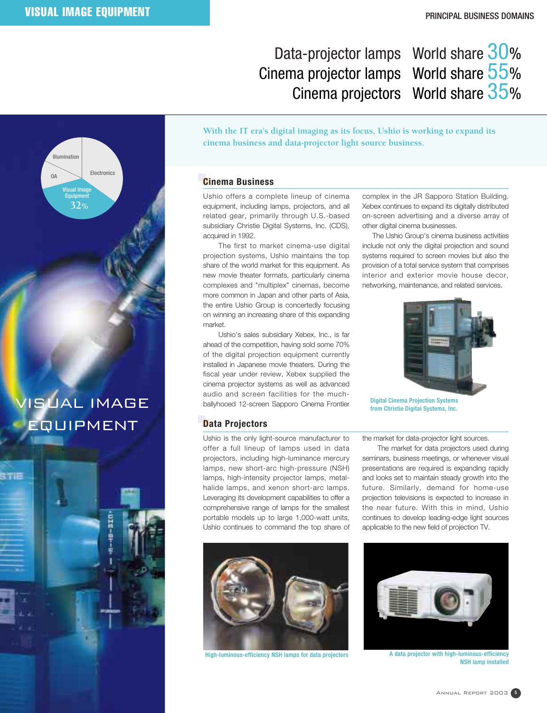VISUAL IMAGE

**32%**

Visual Image **Equipment** 

OΔ

Illumination

Electronics

EQUIPMENT

# Data-projector lamps World share 30% Cinema projector lamps World share 55% Cinema projectors World share 35%

**With the IT era's digital imaging as its focus, Ushio is working to expand its cinema business and data-projector light source business.**

## **Cinema Business**

Ushio offers a complete lineup of cinema equipment, including lamps, projectors, and all related gear, primarily through U.S.-based subsidiary Christie Digital Systems, Inc. (CDS), acquired in 1992.

The first to market cinema-use digital projection systems, Ushio maintains the top share of the world market for this equipment. As new movie theater formats, particularly cinema complexes and "multiplex" cinemas, become more common in Japan and other parts of Asia, the entire Ushio Group is concertedly focusing on winning an increasing share of this expanding market.

Ushio's sales subsidiary Xebex, Inc., is far ahead of the competition, having sold some 70% of the digital projection equipment currently installed in Japanese movie theaters. During the fiscal year under review, Xebex supplied the cinema projector systems as well as advanced audio and screen facilities for the muchballyhooed 12-screen Sapporo Cinema Frontier

## **Data Projectors**

Ushio is the only light-source manufacturer to offer a full lineup of lamps used in data projectors, including high-luminance mercury lamps, new short-arc high-pressure (NSH) lamps, high-intensity projector lamps, metalhalide lamps, and xenon short-arc lamps. Leveraging its development capabilities to offer a comprehensive range of lamps for the smallest portable models up to large 1,000-watt units, Ushio continues to command the top share of



High-luminous-efficiency NSH lamps for data projectors **A** data projector with high-luminous-efficiency

complex in the JR Sapporo Station Building. Xebex continues to expand its digitally distributed on-screen advertising and a diverse array of other digital cinema businesses.

The Ushio Group's cinema business activities include not only the digital projection and sound systems required to screen movies but also the provision of a total service system that comprises interior and exterior movie house decor, networking, maintenance, and related services.



Digital Cinema Projection Systems from Christie Digital Systems, Inc.

the market for data-projector light sources.

The market for data projectors used during seminars, business meetings, or whenever visual presentations are required is expanding rapidly and looks set to maintain steady growth into the future. Similarly, demand for home-use projection televisions is expected to increase in the near future. With this in mind, Ushio continues to develop leading-edge light sources applicable to the new field of projection TV.



NSH lamp installed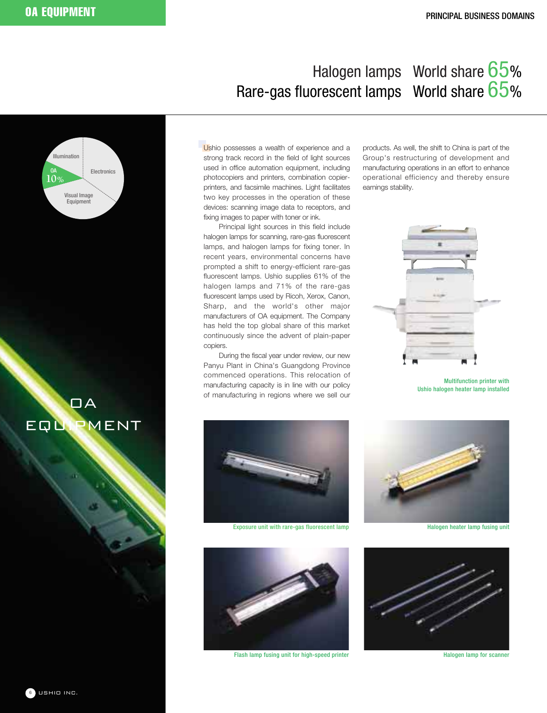# Halogen lamps World share 65% Rare-gas fluorescent lamps World share 65%

Ushio possesses a wealth of experience and a strong track record in the field of light sources used in office automation equipment, including photocopiers and printers, combination copierprinters, and facsimile machines. Light facilitates two key processes in the operation of these devices: scanning image data to receptors, and fixing images to paper with toner or ink.

Principal light sources in this field include halogen lamps for scanning, rare-gas fluorescent lamps, and halogen lamps for fixing toner. In recent years, environmental concerns have prompted a shift to energy-efficient rare-gas fluorescent lamps. Ushio supplies 61% of the halogen lamps and 71% of the rare-gas fluorescent lamps used by Ricoh, Xerox, Canon, Sharp, and the world's other major manufacturers of OA equipment. The Company has held the top global share of this market continuously since the advent of plain-paper copiers.

During the fiscal year under review, our new Panyu Plant in China's Guangdong Province commenced operations. This relocation of manufacturing capacity is in line with our policy of manufacturing in regions where we sell our

products. As well, the shift to China is part of the Group's restructuring of development and manufacturing operations in an effort to enhance operational efficiency and thereby ensure earnings stability.



Multifunction printer with Ushio halogen heater lamp installed



Exposure unit with rare-gas fluorescent lamp **Halogen heater lamp fusing unit** Halogen heater lamp fusing unit



Flash lamp fusing unit for high-speed printer **Halogen lamp for scanner** Halogen lamp for scanner





 $\Box A$ 

Electronics

Visual Image Equipment

OA

**10%**

Illumination

EQUIPMENT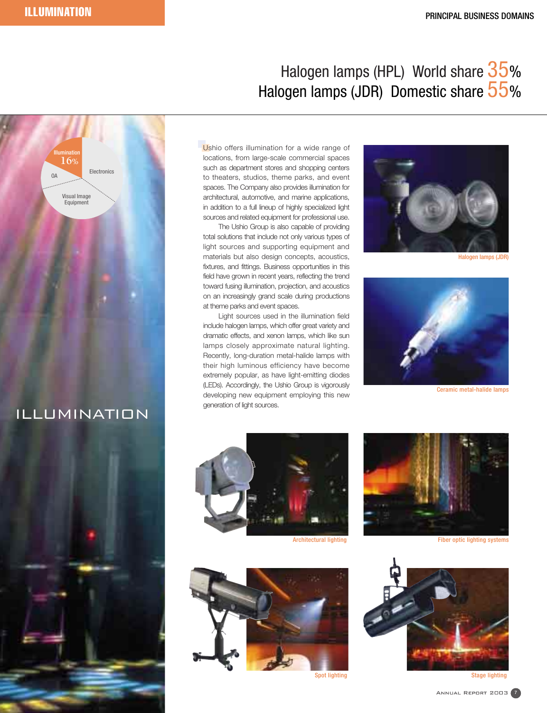# Halogen lamps (HPL) World share 35% Halogen lamps (JDR) Domestic share 55%



# ILLUMINATION



Ushio offers illumination for a wide range of locations, from large-scale commercial spaces such as department stores and shopping centers to theaters, studios, theme parks, and event spaces. The Company also provides illumination for architectural, automotive, and marine applications, in addition to a full lineup of highly specialized light sources and related equipment for professional use.

The Ushio Group is also capable of providing total solutions that include not only various types of light sources and supporting equipment and materials but also design concepts, acoustics, fixtures, and fittings. Business opportunities in this field have grown in recent years, reflecting the trend toward fusing illumination, projection, and acoustics on an increasingly grand scale during productions at theme parks and event spaces.

Light sources used in the illumination field include halogen lamps, which offer great variety and dramatic effects, and xenon lamps, which like sun lamps closely approximate natural lighting. Recently, long-duration metal-halide lamps with their high luminous efficiency have become extremely popular, as have light-emitting diodes (LEDs). Accordingly, the Ushio Group is vigorously developing new equipment employing this new generation of light sources.



Halogen lamps (JDR)



Ceramic metal-halide lamps



Architectural lighting





Fiber optic lighting systems

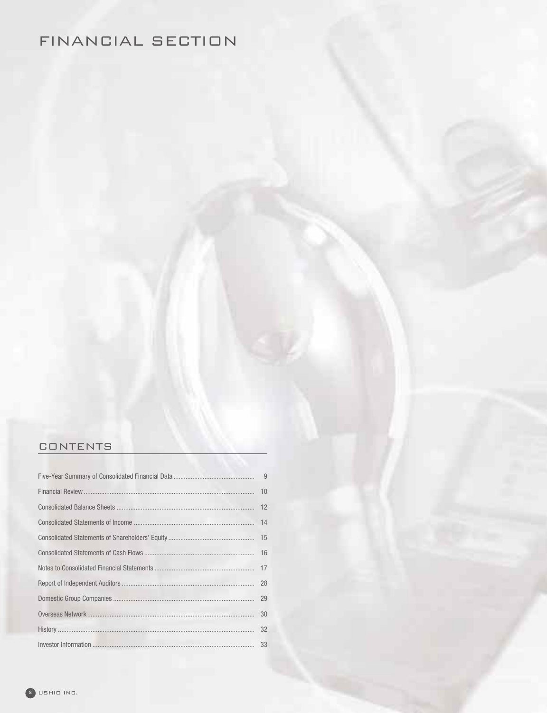# FINANCIAL SECTION

## CONTENTS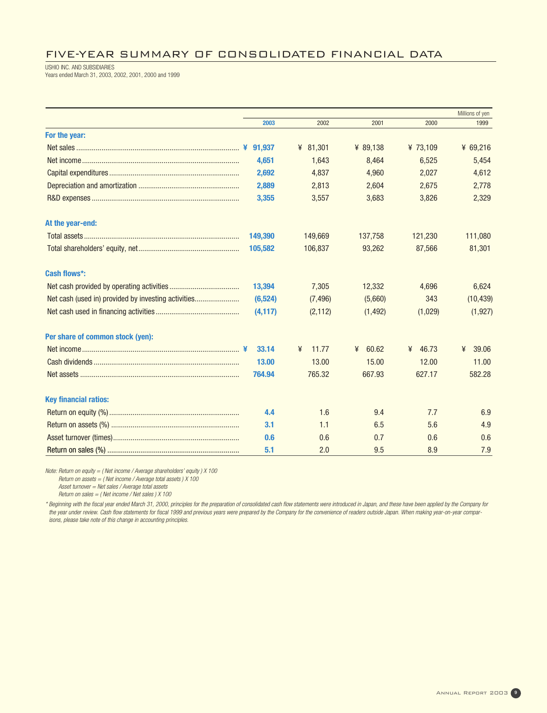## FIVE-YEAR SUMMARY OF CONSOLIDATED FINANCIAL DATA

USHIO INC. AND SUBSIDIARIES Years ended March 31, 2003, 2002, 2001, 2000 and 1999

|                                  |          |            |            |          | Millions of yen |
|----------------------------------|----------|------------|------------|----------|-----------------|
|                                  | 2003     | 2002       | 2001       | 2000     | 1999            |
| For the year:                    |          |            |            |          |                 |
|                                  |          | ¥ $81,301$ | ¥ 89,138   | ¥ 73,109 | ¥ $69,216$      |
|                                  | 4,651    | 1,643      | 8,464      | 6,525    | 5,454           |
|                                  | 2,692    | 4,837      | 4,960      | 2,027    | 4,612           |
|                                  | 2,889    | 2,813      | 2,604      | 2,675    | 2,778           |
|                                  | 3,355    | 3,557      | 3,683      | 3,826    | 2,329           |
| At the year-end:                 |          |            |            |          |                 |
|                                  | 149,390  | 149,669    | 137,758    | 121,230  | 111,080         |
|                                  | 105,582  | 106,837    | 93,262     | 87,566   | 81,301          |
| <b>Cash flows*:</b>              |          |            |            |          |                 |
|                                  | 13,394   | 7,305      | 12,332     | 4,696    | 6,624           |
|                                  | (6, 524) | (7, 496)   | (5,660)    | 343      | (10, 439)       |
|                                  | (4, 117) | (2, 112)   | (1, 492)   | (1,029)  | (1, 927)        |
| Per share of common stock (yen): |          |            |            |          |                 |
|                                  | 33.14    | 11.77<br>¥ | 60.62<br>¥ | ¥ 46.73  | 39.06<br>¥      |
|                                  | 13.00    | 13.00      | 15.00      | 12.00    | 11.00           |
|                                  | 764.94   | 765.32     | 667.93     | 627.17   | 582.28          |
| <b>Key financial ratios:</b>     |          |            |            |          |                 |
|                                  | 4.4      | 1.6        | 9.4        | 7.7      | 6.9             |
|                                  | 3.1      | 1.1        | 6.5        | 5.6      | 4.9             |
|                                  | 0.6      | 0.6        | 0.7        | 0.6      | 0.6             |
|                                  | 5.1      | 2.0        | 9.5        | 8.9      | 7.9             |

Note: Return on equity = ( Net income / Average shareholders' equity ) X 100

Return on assets  $=$  (Net income / Average total assets )  $X$  100

Asset turnover = Net sales / Average total assets Return on sales  $=$  (Net income / Net sales )  $X$  100

\* Beginning with the fiscal year ended March 31, 2000, principles for the preparation of consolidated cash flow statements were introduced in Japan, and these have been applied by the Company for the year under review. Cash flow statements for fiscal 1999 and previous years were prepared by the Company for the convenience of readers outside Japan. When making year-on-year compar-

isons, please take note of this change in accounting principles.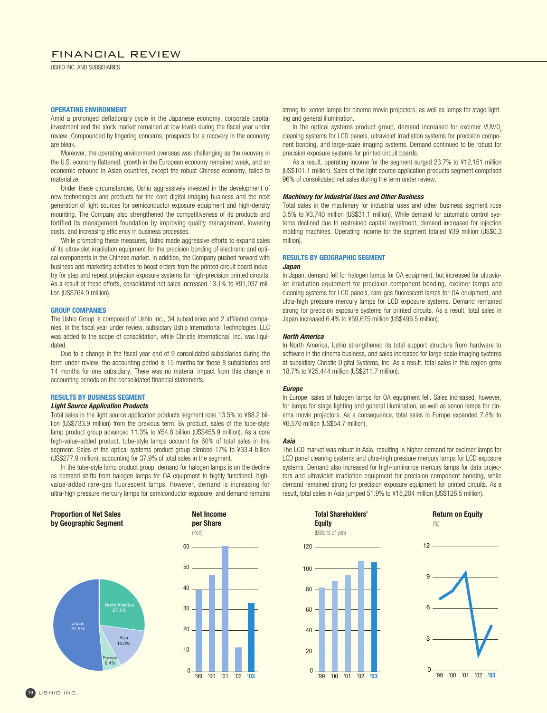## FINANCIAL REVIEW

USHIO INC. AND SUBSIDIARIES

## **OPERATING ENVIRONMENT**

Amid a prolonged deflationary cycle in the Japanese economy, corporate capital investment and the stock market remained at low levels during the fiscal year under review. Compounded by lingering concerns, prospects for a recovery in the economy are bleak.

Moreover, the operating environment overseas was challenging as the recovery in the U.S. economy flattened, growth in the European economy remained weak, and an economic rebound in Asian countries, except the robust Chinese economy, failed to materialize.

Under these circumstances, Ushio aggressively invested in the development of new technologies and products for the core digital imaging business and the next generation of light sources for semiconductor exposure equipment and high-density mounting. The Company also strengthened the competitiveness of its products and fortified its management foundation by improving quality management, lowering costs, and increasing efficiency in business processes.

While promoting these measures, Ushio made aggressive efforts to expand sales of its ultraviolet irradiation equipment for the precision bonding of electronic and optical components in the Chinese market. In addition, the Company pushed forward with business and marketing activities to boost orders from the printed circuit board industry for step and repeat projection exposure systems for high-precision printed circuits. As a result of these efforts, consolidated net sales increased 13.1% to ¥91,937 million (US\$764.9 million).

### **GROUP COMPANIES**

The Ushio Group is composed of Ushio Inc., 34 subsidiaries and 2 affiliated companies. In the fiscal year under review, subsidiary Ushio International Technologies, LLC was added to the scope of consolidation, while Christie International, Inc. was liquidated.

Due to a change in the fiscal year-end of 9 consolidated subsidiaries during the term under review, the accounting period is 15 months for these 8 subsidiaries and 14 months for one subsidiary. There was no material impact from this change in accounting periods on the consolidated financial statements.

## **RESULTS BY BUSINESS SEGMENT**

## **Light Source Application Products**

Total sales in the light source application products segment rose 13.5% to ¥88.2 billion (US\$733.9 million) from the previous term. By product, sales of the tube-style lamp product group advanced 11.3% to ¥54.8 billion (US\$455.9 million). As a core high-value-added product, tube-style lamps account for 60% of total sales in this segment. Sales of the optical systems product group climbed 17% to ¥33.4 billion (US\$277.9 million), accounting for 37.9% of total sales in the segment.

In the tube-style lamp product group, demand for halogen lamps is on the decline as demand shifts from halogen lamps for OA equipment to highly functional, highvalue-added rare-gas fluorescent lamps. However, demand is increasing for ultra-high pressure mercury lamps for semiconductor exposure, and demand remains

strong for xenon lamps for cinema movie projectors, as well as lamps for stage lighting and general illumination.

In the optical systems product group, demand increased for excimer  $VUV/O<sub>3</sub>$ cleaning systems for LCD panels, ultraviolet irradiation systems for precision component bonding, and large-scale imaging systems. Demand continued to be robust for precision exposure systems for printed circuit boards.

As a result, operating income for the segment surged 23.7% to ¥12,151 million (US\$101.1 million). Sales of the light source application products segment comprised 96% of consolidated net sales during the term under review.

#### **Machinery for Industrial Uses and Other Business**

Total sales in the machinery for industrial uses and other business segment rose 3.5% to ¥3,740 million (US\$31.1 million). While demand for automatic control systems declined due to restrained capital investment, demand increased for injection molding machines. Operating income for the segment totaled ¥39 million (US\$0.3 million).

## **RESULTS BY GEOGRAPHIC SEGMENT**

## **Japan**

In Japan, demand fell for halogen lamps for OA equipment, but increased for ultraviolet irradiation equipment for precision component bonding, excimer lamps and cleaning systems for LCD panels, rare-gas fluorescent lamps for OA equipment, and ultra-high pressure mercury lamps for LCD exposure systems. Demand remained strong for precision exposure systems for printed circuits. As a result, total sales in Japan increased 6.4% to ¥59,675 million (US\$496.5 million).

#### **North America**

In North America, Ushio strengthened its total support structure from hardware to software in the cinema business, and sales increased for large-scale imaging systems at subsidiary Christie Digital Systems, Inc. As a result, total sales in this region grew 18.7% to ¥25,444 million (US\$211.7 million).

#### **Europe**

In Europe, sales of halogen lamps for OA equipment fell. Sales increased, however, for lamps for stage lighting and general illumination, as well as xenon lamps for cinema movie projectors. As a consequence, total sales in Europe expanded 7.8% to ¥6,570 million (US\$54.7 million).

#### **Asia**

The LCD market was robust in Asia, resulting in higher demand for excimer lamps for LCD panel cleaning systems and ultra-high pressure mercury lamps for LCD exposure systems. Demand also increased for high-luminance mercury lamps for data projectors and ultraviolet irradiation equipment for precision component bonding, while demand remained strong for precision exposure equipment for printed circuits. As a result, total sales in Asia jumped 51.9% to ¥15,204 million (US\$126.5 million).









**Return on Equity** 

 $(%)$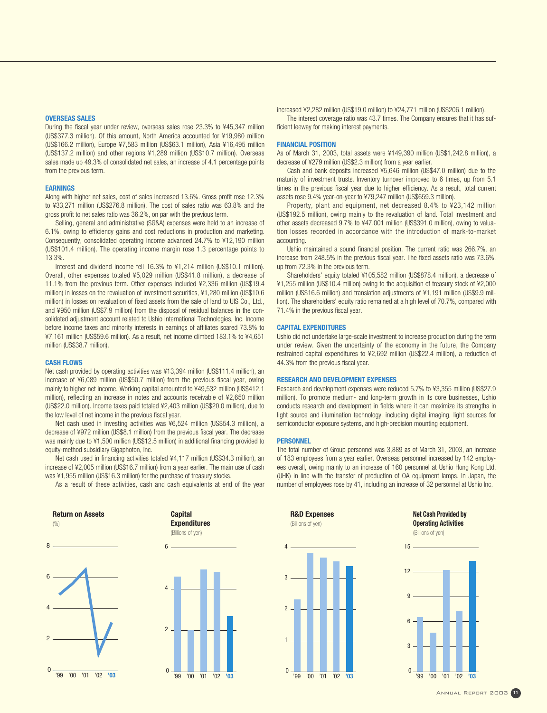#### **OVERSEAS SALES**

During the fiscal year under review, overseas sales rose 23.3% to ¥45,347 million (US\$377.3 million). Of this amount, North America accounted for ¥19,980 million (US\$166.2 million), Europe ¥7,583 million (US\$63.1 million), Asia ¥16,495 million (US\$137.2 million) and other regions ¥1,289 million (US\$10.7 million). Overseas sales made up 49.3% of consolidated net sales, an increase of 4.1 percentage points from the previous term.

#### **EARNINGS**

Along with higher net sales, cost of sales increased 13.6%. Gross profit rose 12.3% to ¥33,271 million (US\$276.8 million). The cost of sales ratio was 63.8% and the gross profit to net sales ratio was 36.2%, on par with the previous term.

Selling, general and administrative (SG&A) expenses were held to an increase of 6.1%, owing to efficiency gains and cost reductions in production and marketing. Consequently, consolidated operating income advanced 24.7% to ¥12,190 million (US\$101.4 million). The operating income margin rose 1.3 percentage points to 13.3%.

Interest and dividend income fell 16.3% to ¥1,214 million (US\$10.1 million). Overall, other expenses totaled ¥5,029 million (US\$41.8 million), a decrease of 11.1% from the previous term. Other expenses included ¥2,336 million (US\$19.4 million) in losses on the revaluation of investment securities, ¥1,280 million (US\$10.6 million) in losses on revaluation of fixed assets from the sale of land to UIS Co., Ltd., and ¥950 million (US\$7.9 million) from the disposal of residual balances in the consolidated adjustment account related to Ushio International Technologies, Inc. Income before income taxes and minority interests in earnings of affiliates soared 73.8% to ¥7,161 million (US\$59.6 million). As a result, net income climbed 183.1% to ¥4,651 million (US\$38.7 million).

#### **CASH FLOWS**

Net cash provided by operating activities was ¥13,394 million (US\$111.4 million), an increase of ¥6,089 million (US\$50.7 million) from the previous fiscal year, owing mainly to higher net income. Working capital amounted to ¥49,532 million (US\$412.1 million), reflecting an increase in notes and accounts receivable of ¥2,650 million (US\$22.0 million). Income taxes paid totaled ¥2,403 million (US\$20.0 million), due to the low level of net income in the previous fiscal year.

Net cash used in investing activities was ¥6,524 million (US\$54.3 million), a decrease of ¥972 million (US\$8.1 million) from the previous fiscal year. The decrease was mainly due to ¥1,500 million (US\$12.5 million) in additional financing provided to equity-method subsidiary Gigaphoton, Inc.

Net cash used in financing activities totaled ¥4,117 million (US\$34.3 million), an increase of ¥2,005 million (US\$16.7 million) from a year earlier. The main use of cash was ¥1,955 million (US\$16.3 million) for the purchase of treasury stocks.

As a result of these activities, cash and cash equivalents at end of the year

**Capital** 





'99 '01 '02 '00 **'03**

increased ¥2,282 million (US\$19.0 million) to ¥24,771 million (US\$206.1 million). The interest coverage ratio was 43.7 times. The Company ensures that it has sufficient leeway for making interest payments.

### **FINANCIAL POSITION**

As of March 31, 2003, total assets were ¥149,390 million (US\$1,242.8 million), a decrease of ¥279 million (US\$2.3 million) from a year earlier.

Cash and bank deposits increased ¥5,646 million (US\$47.0 million) due to the maturity of investment trusts. Inventory turnover improved to 6 times, up from 5.1 times in the previous fiscal year due to higher efficiency. As a result, total current assets rose 9.4% year-on-year to ¥79,247 million (US\$659.3 million).

Property, plant and equipment, net decreased 8.4% to ¥23,142 million (US\$192.5 million), owing mainly to the revaluation of land. Total investment and other assets decreased 9.7% to ¥47,001 million (US\$391.0 million), owing to valuation losses recorded in accordance with the introduction of mark-to-market accounting.

Ushio maintained a sound financial position. The current ratio was 266.7%, an increase from 248.5% in the previous fiscal year. The fixed assets ratio was 73.6%, up from 72.3% in the previous term.

Shareholders' equity totaled ¥105,582 million (US\$878.4 million), a decrease of ¥1,255 million (US\$10.4 million) owing to the acquisition of treasury stock of ¥2,000 million (US\$16.6 million) and translation adjustments of ¥1,191 million (US\$9.9 million). The shareholders' equity ratio remained at a high level of 70.7%, compared with 71.4% in the previous fiscal year.

#### **CAPITAL EXPENDITURES**

Ushio did not undertake large-scale investment to increase production during the term under review. Given the uncertainty of the economy in the future, the Company restrained capital expenditures to ¥2,692 million (US\$22.4 million), a reduction of 44.3% from the previous fiscal year.

## **RESEARCH AND DEVELOPMENT EXPENSES**

Research and development expenses were reduced 5.7% to ¥3,355 million (US\$27.9 million). To promote medium- and long-term growth in its core businesses, Ushio conducts research and development in fields where it can maximize its strengths in light source and illumination technology, including digital imaging, light sources for semiconductor exposure systems, and high-precision mounting equipment.

## **PERSONNEL**

The total number of Group personnel was 3,889 as of March 31, 2003, an increase of 183 employees from a year earlier. Overseas personnel increased by 142 employees overall, owing mainly to an increase of 160 personnel at Ushio Hong Kong Ltd. (UHK) in line with the transfer of production of OA equipment lamps. In Japan, the number of employees rose by 41, including an increase of 32 personnel at Ushio Inc.



**Net Cash Provided by Operating Activities** (Billions of yen)



Annual Report 2003 **<sup>11</sup>**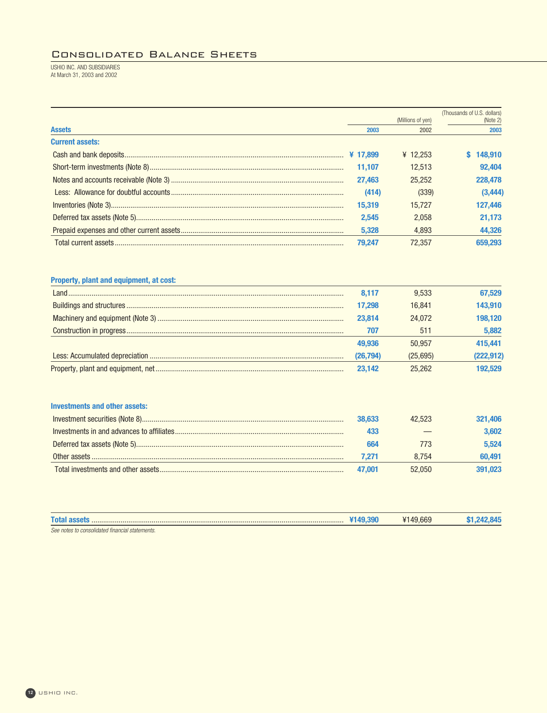## Consolidated Balance Sheets

USHIO INC. AND SUBSIDIARIES At March 31, 2003 and 2002

|                        |          | (Millions of yen) | (Thousands of U.S. dollars)<br>(Note 2) |
|------------------------|----------|-------------------|-----------------------------------------|
| <b>Assets</b>          | 2003     | 2002              | 2003                                    |
| <b>Current assets:</b> |          |                   |                                         |
|                        | ¥ 17.899 | ¥ 12.253          | 148.910                                 |
|                        | 11.107   | 12.513            | 92.404                                  |
|                        | 27.463   | 25.252            | 228,478                                 |
|                        | (414)    | (339)             | (3, 444)                                |
|                        | 15,319   | 15.727            | 127,446                                 |
|                        | 2.545    | 2.058             | 21.173                                  |
|                        | 5.328    | 4.893             | 44,326                                  |
|                        | 79.247   | 72.357            | 659.293                                 |

## **Property, plant and equipment, at cost:**

| 8.117    | 9.533        | 67.529     |
|----------|--------------|------------|
| 17.298   | 16.841       | 143.910    |
| 23.814   | 24.072       | 198.120    |
| 707      | $51^{\circ}$ | 5,882      |
| 49.936   | 50.957       | 415,441    |
| (26,794) | (25.695)     | (222, 912) |
| 23.142   | 25.262       | 192.529    |

## **Investments and other assets:**

| 38.633 | 42.523 | 321.406 |
|--------|--------|---------|
|        |        | 3.602   |
| 664    | 773    | 5.524   |
| 7.271  | 8.754  | 60.491  |
| 47.001 | 52.050 | 891.023 |

| <b>Tota</b>                                      | н. |  |
|--------------------------------------------------|----|--|
| See note<br>tingpois<br>consolidated<br>atements |    |  |

**<sup>12</sup>** USHIO INC.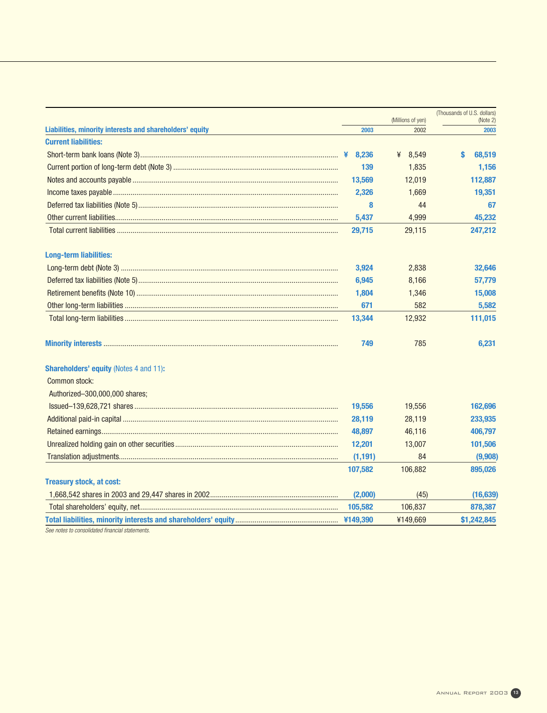|                                                          |          |                   | (Thousands of U.S. dollars) |
|----------------------------------------------------------|----------|-------------------|-----------------------------|
|                                                          |          | (Millions of yen) | (Note 2)                    |
| Liabilities, minority interests and shareholders' equity | 2003     | 2002              | 2003                        |
| <b>Current liabilities:</b>                              |          |                   |                             |
|                                                          | 8,236    | ¥ 8,549           | S<br>68,519                 |
|                                                          | 139      | 1,835             | 1,156                       |
|                                                          | 13,569   | 12,019            | 112,887                     |
|                                                          | 2,326    | 1,669             | 19,351                      |
|                                                          | 8        | 44                | 67                          |
|                                                          | 5,437    | 4,999             | 45,232                      |
|                                                          | 29,715   | 29,115            | 247,212                     |
| <b>Long-term liabilities:</b>                            |          |                   |                             |
|                                                          | 3,924    | 2,838             | 32,646                      |
|                                                          | 6,945    | 8,166             | 57,779                      |
|                                                          | 1,804    | 1,346             | 15,008                      |
|                                                          | 671      | 582               | 5,582                       |
|                                                          | 13,344   | 12,932            | 111,015                     |
|                                                          | 749      | 785               | 6,231                       |
| <b>Shareholders' equity (Notes 4 and 11):</b>            |          |                   |                             |
| Common stock:                                            |          |                   |                             |
| Authorized-300,000,000 shares;                           |          |                   |                             |
|                                                          | 19,556   | 19,556            | 162,696                     |
|                                                          | 28,119   | 28,119            | 233,935                     |
|                                                          | 48,897   | 46,116            | 406,797                     |
|                                                          | 12,201   | 13,007            | 101,506                     |
|                                                          | (1, 191) | 84                | (9,908)                     |
|                                                          | 107,582  | 106,882           | 895,026                     |
| <b>Treasury stock, at cost:</b>                          |          |                   |                             |
|                                                          | (2,000)  | (45)              | (16, 639)                   |
|                                                          | 105,582  | 106,837           | 878,387                     |
|                                                          |          | ¥149,669          | \$1,242,845                 |

See notes to consolidated financial statements.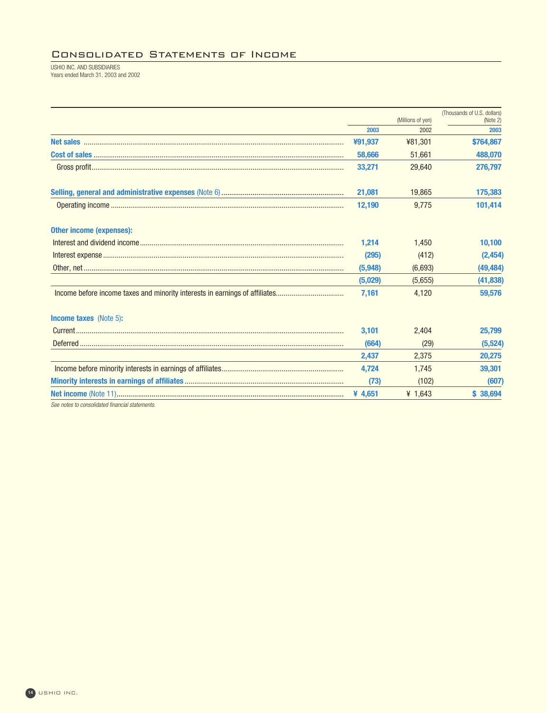## Consolidated Statements of Income

USHIO INC. AND SUBSIDIARIES Years ended March 31, 2003 and 2002

|                                                                             |         |                   | (Thousands of U.S. dollars) |
|-----------------------------------------------------------------------------|---------|-------------------|-----------------------------|
|                                                                             |         | (Millions of yen) | (Note 2)                    |
|                                                                             | 2003    | 2002              | 2003                        |
|                                                                             | ¥91,937 | ¥81,301           | \$764,867                   |
|                                                                             | 58,666  | 51,661            | 488,070                     |
|                                                                             | 33,271  | 29.640            | 276,797                     |
|                                                                             | 21,081  | 19,865            | 175,383                     |
|                                                                             | 12,190  | 9,775             | 101,414                     |
| <b>Other income (expenses):</b>                                             |         |                   |                             |
|                                                                             | 1.214   | 1.450             | 10,100                      |
|                                                                             | (295)   | (412)             | (2, 454)                    |
|                                                                             | (5,948) | (6,693)           | (49, 484)                   |
|                                                                             | (5,029) | (5,655)           | (41, 838)                   |
| Income before income taxes and minority interests in earnings of affiliates | 7,161   | 4,120             | 59,576                      |
| <b>Income taxes</b> (Note 5):                                               |         |                   |                             |
|                                                                             | 3,101   | 2,404             | 25,799                      |
|                                                                             | (664)   | (29)              | (5,524)                     |
|                                                                             | 2,437   | 2,375             | 20,275                      |
|                                                                             | 4,724   | 1,745             | 39,301                      |
|                                                                             | (73)    | (102)             | (607)                       |
|                                                                             | ¥ 4,651 | ¥ $1,643$         | \$38,694                    |
| See notes to consolidated financial statements.                             |         |                   |                             |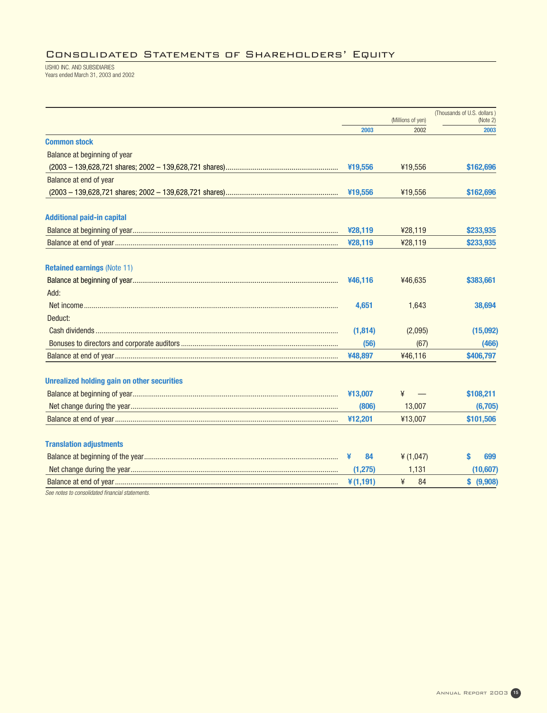## Consolidated Statements of Shareholders' Equity

USHIO INC. AND SUBSIDIARIES Years ended March 31, 2003 and 2002

|                                                    |             |                   | (Thousands of U.S. dollars) |
|----------------------------------------------------|-------------|-------------------|-----------------------------|
|                                                    |             | (Millions of yen) | (Note 2)                    |
|                                                    | 2003        | 2002              | 2003                        |
| <b>Common stock</b>                                |             |                   |                             |
| Balance at beginning of year                       |             |                   |                             |
|                                                    | ¥19,556     | ¥19,556           | \$162,696                   |
| Balance at end of year                             |             |                   |                             |
|                                                    | ¥19,556     | ¥19,556           | \$162,696                   |
| <b>Additional paid-in capital</b>                  |             |                   |                             |
|                                                    | ¥28,119     | ¥28,119           | \$233,935                   |
|                                                    | ¥28,119     | ¥28,119           | \$233,935                   |
| <b>Retained earnings (Note 11)</b>                 |             |                   |                             |
|                                                    | ¥46,116     | ¥46,635           | \$383,661                   |
| Add:                                               |             |                   |                             |
|                                                    | 4,651       | 1,643             | 38,694                      |
| Deduct:                                            |             |                   |                             |
|                                                    | (1,814)     | (2,095)           | (15,092)                    |
|                                                    | (56)        | (67)              | (466)                       |
|                                                    | ¥48,897     | ¥46,116           | \$406,797                   |
| <b>Unrealized holding gain on other securities</b> |             |                   |                             |
|                                                    | ¥13,007     | ¥                 | \$108,211                   |
|                                                    | (806)       | 13,007            | (6,705)                     |
|                                                    | ¥12,201     | ¥13,007           | \$101,506                   |
| <b>Translation adjustments</b>                     |             |                   |                             |
|                                                    | 84<br>¥     | ¥ $(1,047)$       | 699                         |
|                                                    | (1, 275)    | 1,131             | (10,607)                    |
|                                                    | $*(1, 191)$ | ¥<br>84           | \$ (9,908)                  |
| See notes to consolidated financial statements.    |             |                   |                             |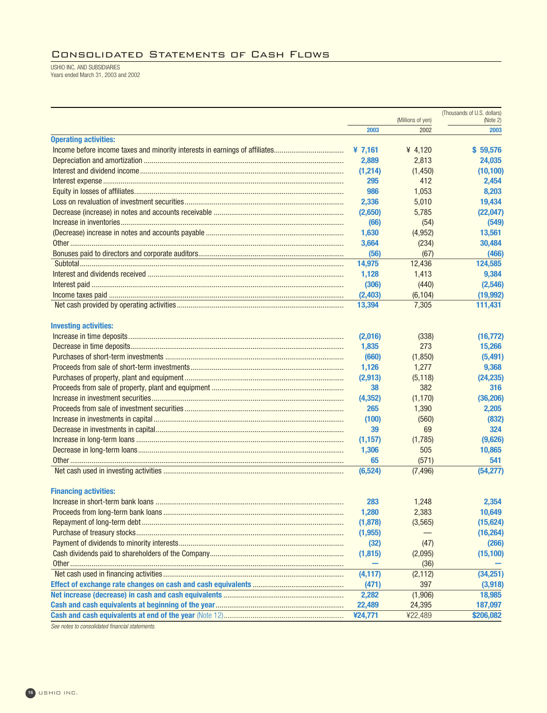## Consolidated Statements of Cash Flows

USHIO INC. AND SUBSIDIARIES Years ended March 31, 2003 and 2002

|                                                                             |           |                           | (Thousands of U.S. dollars) |
|-----------------------------------------------------------------------------|-----------|---------------------------|-----------------------------|
|                                                                             | 2003      | (Millions of yen)<br>2002 | (Note 2)<br>2003            |
| <b>Operating activities:</b>                                                |           |                           |                             |
| Income before income taxes and minority interests in earnings of affiliates | ¥ $7,161$ | ¥ 4,120                   | \$59,576                    |
|                                                                             | 2,889     | 2,813                     | 24,035                      |
|                                                                             | (1,214)   | (1, 450)                  | (10, 100)                   |
|                                                                             | 295       | 412                       | 2,454                       |
|                                                                             | 986       | 1,053                     | 8,203                       |
|                                                                             | 2,336     | 5,010                     | 19,434                      |
|                                                                             | (2,650)   | 5,785                     | (22, 047)                   |
|                                                                             | (66)      | (54)                      | (549)                       |
|                                                                             | 1,630     | (4, 952)                  | 13,561                      |
|                                                                             | 3,664     | (234)                     | 30,484                      |
|                                                                             | (56)      | (67)                      | (466)                       |
|                                                                             | 14,975    | 12,436                    | 124,585                     |
| Interest and dividends received …………………………………………………………………………………………          | 1,128     | 1,413                     | 9,384                       |
|                                                                             | (306)     | (440)                     | (2, 546)                    |
|                                                                             | (2, 403)  | (6, 104)                  | (19, 992)                   |
|                                                                             | 13,394    | 7,305                     | 111,431                     |
|                                                                             |           |                           |                             |
| <b>Investing activities:</b>                                                |           |                           |                             |
|                                                                             | (2,016)   | (338)                     | (16, 772)                   |
|                                                                             | 1,835     | 273                       | 15,266                      |
|                                                                             | (660)     | (1, 850)                  | (5, 491)                    |
|                                                                             | 1,126     | 1,277                     | 9,368                       |
|                                                                             | (2,913)   | (5, 118)                  | (24, 235)                   |
|                                                                             | 38        | 382                       | 316                         |
|                                                                             | (4, 352)  | (1, 170)                  | (36, 206)                   |
|                                                                             | 265       | 1,390                     | 2,205                       |
|                                                                             | (100)     | (560)                     | (832)                       |
|                                                                             | 39        | 69                        | 324                         |
|                                                                             | (1, 157)  | (1,785)                   | (9,626)                     |
|                                                                             | 1,306     | 505                       | 10,865                      |
|                                                                             | 65        | (571)                     | 541                         |
|                                                                             | (6, 524)  | (7, 496)                  | (54, 277)                   |
| <b>Financing activities:</b>                                                |           |                           |                             |
|                                                                             | 283       | 1,248                     | 2,354                       |
|                                                                             | 1,280     | 2,383                     | 10,649                      |
|                                                                             | (1,878)   | (3, 565)                  | (15, 624)                   |
|                                                                             | (1, 955)  |                           | (16, 264)                   |
|                                                                             | (32)      | (47)                      | (266)                       |
|                                                                             | (1, 815)  | (2,095)                   | (15, 100)                   |
|                                                                             |           | (36)                      |                             |
|                                                                             | (4, 117)  | (2, 112)                  | (34,251)                    |
|                                                                             | (471)     | 397                       | (3,918)                     |
|                                                                             | 2,282     | (1,906)                   | 18,985                      |
|                                                                             | 22,489    | 24,395                    | 187,097                     |
|                                                                             | ¥24,771   | ¥22,489                   | \$206,082                   |

See notes to consolidated financial statements.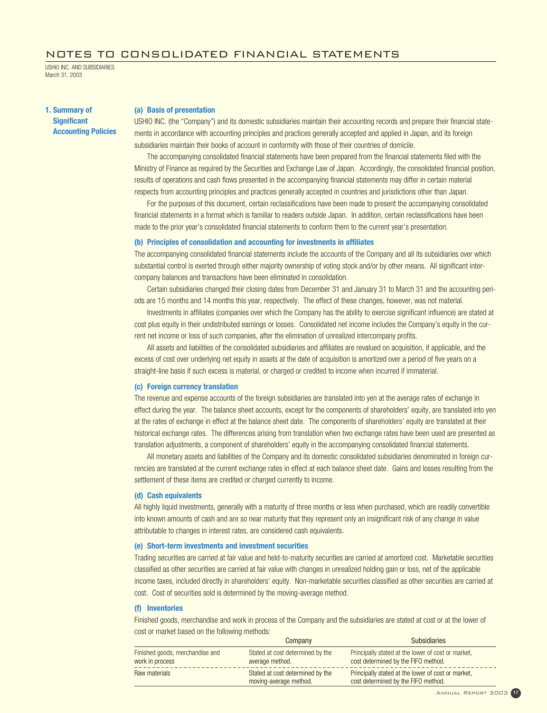## NOTES TO CONSOLIDATED FINANCIAL STATEMENTS

USHIO INC. AND SUBSIDIARIES March 31, 2003

**1. Summary of Significant Accounting Policies**

## **(a) Basis of presentation**

USHIO INC. (the "Company") and its domestic subsidiaries maintain their accounting records and prepare their financial statements in accordance with accounting principles and practices generally accepted and applied in Japan, and its foreign subsidiaries maintain their books of account in conformity with those of their countries of domicile.

The accompanying consolidated financial statements have been prepared from the financial statements filed with the Ministry of Finance as required by the Securities and Exchange Law of Japan. Accordingly, the consolidated financial position, results of operations and cash flows presented in the accompanying financial statements may differ in certain material respects from accounting principles and practices generally accepted in countries and jurisdictions other than Japan.

For the purposes of this document, certain reclassifications have been made to present the accompanying consolidated financial statements in a format which is familiar to readers outside Japan. In addition, certain reclassifications have been made to the prior year's consolidated financial statements to conform them to the current year's presentation.

## **(b) Principles of consolidation and accounting for investments in affiliates**

The accompanying consolidated financial statements include the accounts of the Company and all its subsidiaries over which substantial control is exerted through either majority ownership of voting stock and/or by other means. All significant intercompany balances and transactions have been eliminated in consolidation.

Certain subsidiaries changed their closing dates from December 31 and January 31 to March 31 and the accounting periods are 15 months and 14 months this year, respectively. The effect of these changes, however, was not material.

Investments in affiliates (companies over which the Company has the ability to exercise significant influence) are stated at cost plus equity in their undistributed earnings or losses. Consolidated net income includes the Company's equity in the current net income or loss of such companies, after the elimination of unrealized intercompany profits.

All assets and liabilities of the consolidated subsidiaries and affiliates are revalued on acquisition, if applicable, and the excess of cost over underlying net equity in assets at the date of acquisition is amortized over a period of five years on a straight-line basis if such excess is material, or charged or credited to income when incurred if immaterial.

## **(c) Foreign currency translation**

The revenue and expense accounts of the foreign subsidiaries are translated into yen at the average rates of exchange in effect during the year. The balance sheet accounts, except for the components of shareholders' equity, are translated into yen at the rates of exchange in effect at the balance sheet date. The components of shareholders' equity are translated at their historical exchange rates. The differences arising from translation when two exchange rates have been used are presented as translation adjustments, a component of shareholders' equity in the accompanying consolidated financial statements.

All monetary assets and liabilities of the Company and its domestic consolidated subsidiaries denominated in foreign currencies are translated at the current exchange rates in effect at each balance sheet date. Gains and losses resulting from the settlement of these items are credited or charged currently to income.

#### **(d) Cash equivalents**

All highly liquid investments, generally with a maturity of three months or less when purchased, which are readily convertible into known amounts of cash and are so near maturity that they represent only an insignificant risk of any change in value attributable to changes in interest rates, are considered cash equivalents.

## **(e) Short-term investments and investment securities**

Trading securities are carried at fair value and held-to-maturity securities are carried at amortized cost. Marketable securities classified as other securities are carried at fair value with changes in unrealized holding gain or loss, net of the applicable income taxes, included directly in shareholders' equity. Non-marketable securities classified as other securities are carried at cost. Cost of securities sold is determined by the moving-average method.

## **(f) Inventories**

Finished goods, merchandise and work in process of the Company and the subsidiaries are stated at cost or at the lower of cost or market based on the following methods:

|                                                    | Company                                                    | <b>Subsidiaries</b>                                                                       |
|----------------------------------------------------|------------------------------------------------------------|-------------------------------------------------------------------------------------------|
| Finished goods, merchandise and<br>work in process | Stated at cost determined by the<br>average method.        | Principally stated at the lower of cost or market,<br>cost determined by the FIFO method. |
| Raw materials                                      | Stated at cost determined by the<br>moving-average method. | Principally stated at the lower of cost or market.<br>cost determined by the FIFO method. |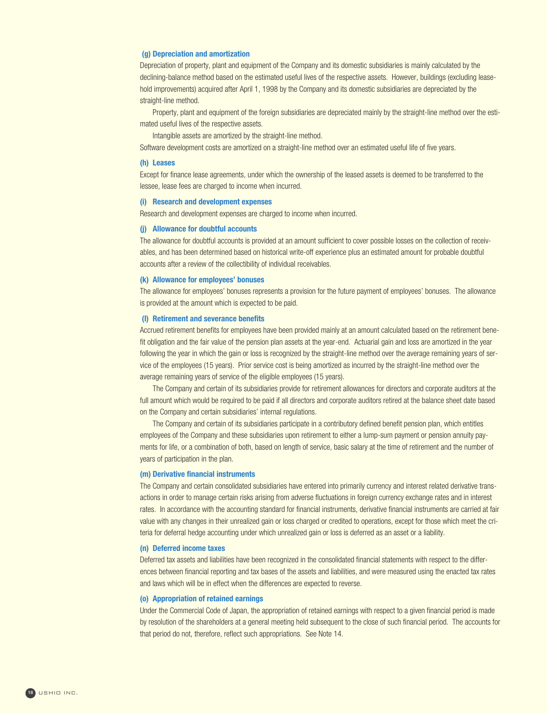## **(g) Depreciation and amortization**

Depreciation of property, plant and equipment of the Company and its domestic subsidiaries is mainly calculated by the declining-balance method based on the estimated useful lives of the respective assets. However, buildings (excluding leasehold improvements) acquired after April 1, 1998 by the Company and its domestic subsidiaries are depreciated by the straight-line method.

Property, plant and equipment of the foreign subsidiaries are depreciated mainly by the straight-line method over the estimated useful lives of the respective assets.

Intangible assets are amortized by the straight-line method.

Software development costs are amortized on a straight-line method over an estimated useful life of five years.

## **(h) Leases**

Except for finance lease agreements, under which the ownership of the leased assets is deemed to be transferred to the lessee, lease fees are charged to income when incurred.

## **(i) Research and development expenses**

Research and development expenses are charged to income when incurred.

## **(j) Allowance for doubtful accounts**

The allowance for doubtful accounts is provided at an amount sufficient to cover possible losses on the collection of receivables, and has been determined based on historical write-off experience plus an estimated amount for probable doubtful accounts after a review of the collectibility of individual receivables.

## **(k) Allowance for employees' bonuses**

The allowance for employees' bonuses represents a provision for the future payment of employees' bonuses. The allowance is provided at the amount which is expected to be paid.

## **(l) Retirement and severance benefits**

Accrued retirement benefits for employees have been provided mainly at an amount calculated based on the retirement benefit obligation and the fair value of the pension plan assets at the year-end. Actuarial gain and loss are amortized in the year following the year in which the gain or loss is recognized by the straight-line method over the average remaining years of service of the employees (15 years). Prior service cost is being amortized as incurred by the straight-line method over the average remaining years of service of the eligible employees (15 years).

The Company and certain of its subsidiaries provide for retirement allowances for directors and corporate auditors at the full amount which would be required to be paid if all directors and corporate auditors retired at the balance sheet date based on the Company and certain subsidiaries' internal regulations.

The Company and certain of its subsidiaries participate in a contributory defined benefit pension plan, which entitles employees of the Company and these subsidiaries upon retirement to either a lump-sum payment or pension annuity payments for life, or a combination of both, based on length of service, basic salary at the time of retirement and the number of years of participation in the plan.

## **(m) Derivative financial instruments**

The Company and certain consolidated subsidiaries have entered into primarily currency and interest related derivative transactions in order to manage certain risks arising from adverse fluctuations in foreign currency exchange rates and in interest rates. In accordance with the accounting standard for financial instruments, derivative financial instruments are carried at fair value with any changes in their unrealized gain or loss charged or credited to operations, except for those which meet the criteria for deferral hedge accounting under which unrealized gain or loss is deferred as an asset or a liability.

#### **(n) Deferred income taxes**

Deferred tax assets and liabilities have been recognized in the consolidated financial statements with respect to the differences between financial reporting and tax bases of the assets and liabilities, and were measured using the enacted tax rates and laws which will be in effect when the differences are expected to reverse.

## **(o) Appropriation of retained earnings**

Under the Commercial Code of Japan, the appropriation of retained earnings with respect to a given financial period is made by resolution of the shareholders at a general meeting held subsequent to the close of such financial period. The accounts for that period do not, therefore, reflect such appropriations. See Note 14.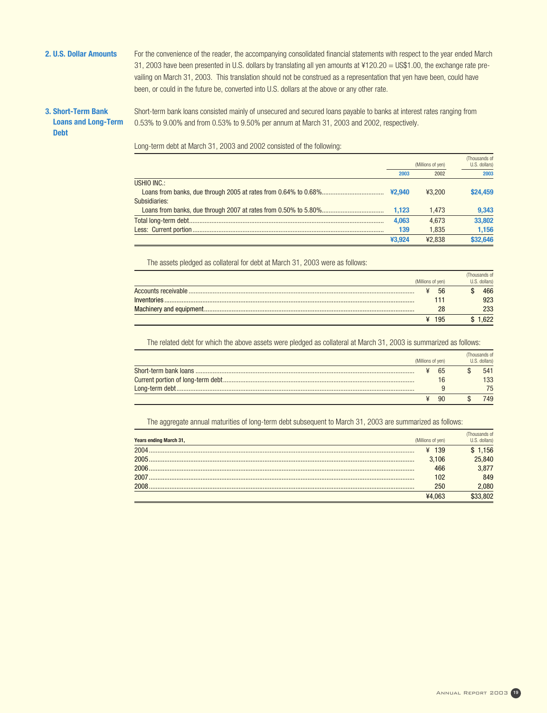2. U.S. Dollar Amounts For the convenience of the reader, the accompanying consolidated financial statements with respect to the year ended March 31, 2003 have been presented in U.S. dollars by translating all yen amounts at  $4120.20 = US$1.00$ , the exchange rate prevailing on March 31, 2003. This translation should not be construed as a representation that yen have been, could have been, or could in the future be, converted into U.S. dollars at the above or any other rate.

## **3. Short-Term Bank Loans and Long-Term Debt**

Short-term bank loans consisted mainly of unsecured and secured loans payable to banks at interest rates ranging from 0.53% to 9.00% and from 0.53% to 9.50% per annum at March 31, 2003 and 2002, respectively.

Long-term debt at March 31, 2003 and 2002 consisted of the following:

|               |        |                   | (Thousands of |
|---------------|--------|-------------------|---------------|
|               |        | (Millions of yen) | U.S. dollars) |
|               | 2003   | 2002              | 2003          |
| USHIO INC.:   |        |                   |               |
|               |        | 43.200            | \$24.459      |
| Subsidiaries: |        |                   |               |
|               | 1.123  | 1.473             | 9,343         |
|               | 4.063  | 4.673             | 33,802        |
|               | 139    | 1.835             | 1.156         |
|               | ¥3.924 | ¥2.838            | \$32,646      |

The assets pledged as collateral for debt at March 31, 2003 were as follows:

| (Millions of yen) |       | (Thousands of<br>U.S. dollars) |
|-------------------|-------|--------------------------------|
|                   | 56    | 466                            |
|                   | 111   | 923                            |
|                   | 28    | 233                            |
|                   | ¥ 195 | .622                           |

The related debt for which the above assets were pledged as collateral at March 31, 2003 is summarized as follows:

|                   |           | (Thousands of |
|-------------------|-----------|---------------|
| (Millions of yen) |           | U.S. dollars) |
|                   | - 65      | 541           |
|                   |           | 133           |
|                   |           | 75            |
|                   | <b>90</b> | 749           |

The aggregate annual maturities of long-term debt subsequent to March 31, 2003 are summarized as follows:

| Years ending March 31, | (Millions of yen) | Thousands of<br>U.S. dollars) |
|------------------------|-------------------|-------------------------------|
| 2004                   | ¥ 139             | \$1,156                       |
| 2005.                  | 3,106             | 25,840                        |
| 2006.                  | 466               | 3,877                         |
|                        | 102               | 849                           |
|                        | 250               | 080.                          |
|                        | ¥4.063            |                               |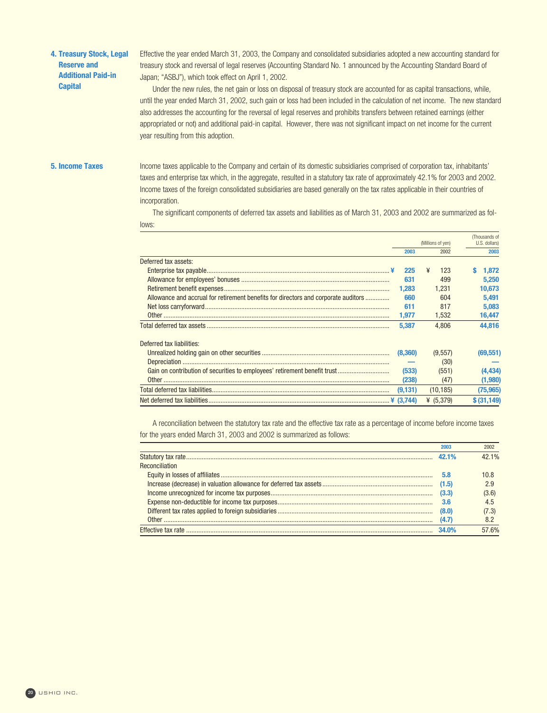## **4. Treasury Stock, Legal Reserve and Additional Paid-in Capital**

Effective the year ended March 31, 2003, the Company and consolidated subsidiaries adopted a new accounting standard for treasury stock and reversal of legal reserves (Accounting Standard No. 1 announced by the Accounting Standard Board of Japan; "ASBJ"), which took effect on April 1, 2002.

Under the new rules, the net gain or loss on disposal of treasury stock are accounted for as capital transactions, while, until the year ended March 31, 2002, such gain or loss had been included in the calculation of net income. The new standard also addresses the accounting for the reversal of legal reserves and prohibits transfers between retained earnings (either appropriated or not) and additional paid-in capital. However, there was not significant impact on net income for the current year resulting from this adoption.

**5. Income Taxes** Income taxes applicable to the Company and certain of its domestic subsidiaries comprised of corporation tax, inhabitants' taxes and enterprise tax which, in the aggregate, resulted in a statutory tax rate of approximately 42.1% for 2003 and 2002. Income taxes of the foreign consolidated subsidiaries are based generally on the tax rates applicable in their countries of incorporation.

> The significant components of deferred tax assets and liabilities as of March 31, 2003 and 2002 are summarized as follows:

|                                                                                    |           | (Millions of yen) | (Thousands of<br>U.S. dollars) |  |
|------------------------------------------------------------------------------------|-----------|-------------------|--------------------------------|--|
|                                                                                    | 2003      | 2002              | 2003                           |  |
| Deferred tax assets:                                                               |           |                   |                                |  |
|                                                                                    | 225       | ¥<br>123          | 1.872                          |  |
|                                                                                    | 631       | 499               | 5.250                          |  |
|                                                                                    | 1.283     | 1.231             | 10.673                         |  |
| Allowance and accrual for retirement benefits for directors and corporate auditors | 660       | 604               | 5.491                          |  |
|                                                                                    | 611       | 817               | 5.083                          |  |
|                                                                                    | 1.977     | 1,532             | 16,447                         |  |
|                                                                                    | 5.387     | 4.806             | 44.816                         |  |
| Deferred tax liabilities:                                                          |           |                   |                                |  |
|                                                                                    | (8,360)   | (9,557)           | (69,551)                       |  |
|                                                                                    |           | (30)              |                                |  |
|                                                                                    | (533)     | (551)             | (4, 434)                       |  |
|                                                                                    | (238)     | (47)              | (1,980)                        |  |
|                                                                                    | (9, 131)  | (10, 185)         | (75, 965)                      |  |
|                                                                                    | ¥ (3.744) | ¥ $(5.379)$       | \$ (31, 149)                   |  |

A reconciliation between the statutory tax rate and the effective tax rate as a percentage of income before income taxes for the years ended March 31, 2003 and 2002 is summarized as follows:

| <b>Reconciliation</b><br>5.8<br>(4.7)<br>34.0% | 2003 | 2002  |
|------------------------------------------------|------|-------|
|                                                |      | 42.1% |
|                                                |      |       |
|                                                |      | 10.8  |
|                                                |      | 2.9   |
|                                                |      | (3.6) |
|                                                |      | 4.5   |
|                                                |      | (7.3) |
|                                                |      | 8.2   |
|                                                |      | 57.6% |

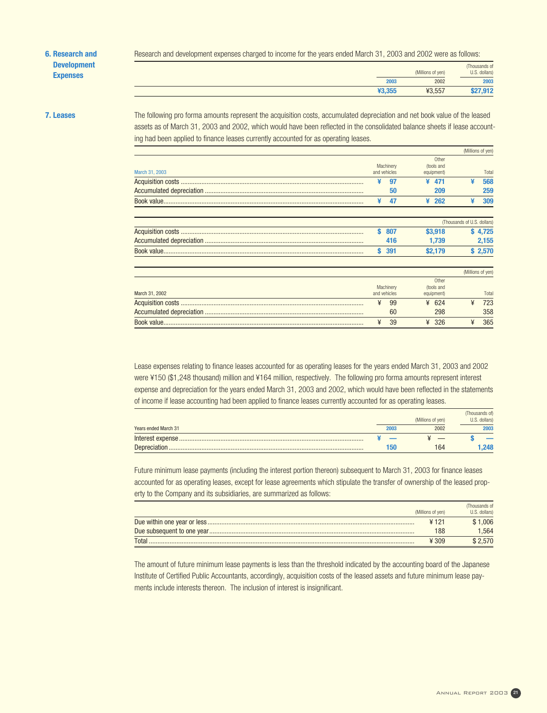## **6. Research and Development Expenses**

Research and development expenses charged to income for the years ended March 31, 2003 and 2002 were as follows:

|        | (Millions of yen) | (Thousands of<br>U.S. dollars) |
|--------|-------------------|--------------------------------|
| 2003   | 2002              | 2003                           |
| ¥3,355 | ¥3,557            | 7,912                          |

**7. Leases** The following pro forma amounts represent the acquisition costs, accumulated depreciation and net book value of the leased assets as of March 31, 2003 and 2002, which would have been reflected in the consolidated balance sheets if lease accounting had been applied to finance leases currently accounted for as operating leases.

|                |     |                           |   |                          |                             | (Millions of yen) |
|----------------|-----|---------------------------|---|--------------------------|-----------------------------|-------------------|
|                |     |                           |   | Other                    |                             |                   |
| March 31, 2003 |     | Machinery<br>and vehicles |   | (tools and<br>equipment) |                             | Total             |
|                |     |                           |   |                          |                             |                   |
|                |     | 97                        | ¥ | 471                      | ¥                           | 568               |
|                |     | 50                        |   | 209                      |                             | 259               |
|                |     | 47                        | ¥ | 262                      | ¥                           | 309               |
|                |     |                           |   |                          | (Thousands of U.S. dollars) |                   |
|                | s   | 807                       |   | \$3,918                  |                             | \$4.725           |
|                |     | 416                       |   | 1.739                    |                             | 2,155             |
|                | \$. | 391                       |   | \$2,179                  |                             | \$2,570           |
|                |     |                           |   |                          |                             | (Millions of yen) |
|                |     | Machinery                 |   | Other<br>(tools and      |                             |                   |
| March 31, 2002 |     | and vehicles              |   | equipment)               |                             | Total             |
|                | ¥   | 99                        | ¥ | 624                      | ¥                           | 723               |
|                |     | 60                        |   | 298                      |                             | 358               |
|                | ¥   | 39                        | ¥ | 326                      | ¥                           | 365               |

Lease expenses relating to finance leases accounted for as operating leases for the years ended March 31, 2003 and 2002 were ¥150 (\$1,248 thousand) million and ¥164 million, respectively. The following pro forma amounts represent interest expense and depreciation for the years ended March 31, 2003 and 2002, which would have been reflected in the statements of income if lease accounting had been applied to finance leases currently accounted for as operating leases.

|                      |      |                   | (Thousands of) |
|----------------------|------|-------------------|----------------|
|                      |      | (Millions of yen) | U.S. dollars)  |
| Years ended March 31 | 2003 | 2002              | 2003           |
|                      |      |                   |                |
| Depreciation         | Бſ   | 164               | .248           |

Future minimum lease payments (including the interest portion thereon) subsequent to March 31, 2003 for finance leases accounted for as operating leases, except for lease agreements which stipulate the transfer of ownership of the leased property to the Company and its subsidiaries, are summarized as follows:

|       | (Millions of yen) | (Thousands of<br>U.S. dollars) |
|-------|-------------------|--------------------------------|
|       | ¥ 121             | 1.006                          |
|       | 188               | .564                           |
| Total | $¥$ 309           | 2.570                          |

The amount of future minimum lease payments is less than the threshold indicated by the accounting board of the Japanese Institute of Certified Public Accountants, accordingly, acquisition costs of the leased assets and future minimum lease payments include interests thereon. The inclusion of interest is insignificant.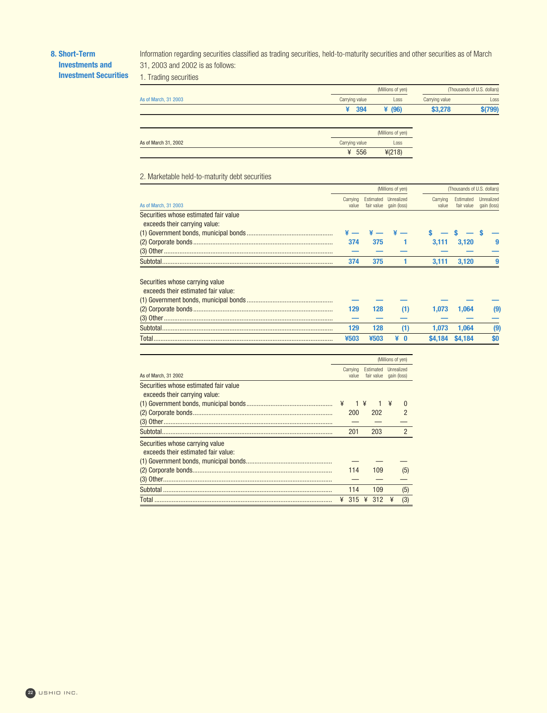## **8. Short-Term**

**Investments and Investment Securities**

Information regarding securities classified as trading securities, held-to-maturity securities and other securities as of March 31, 2003 and 2002 is as follows:

1. Trading securities

|                      |                | (Millions of yen) |                | (Thousands of U.S. dollars) |  |  |
|----------------------|----------------|-------------------|----------------|-----------------------------|--|--|
| As of March, 31 2003 | Carrying value | Loss              | Carrying value | Loss                        |  |  |
|                      | 394<br>¥       | ¥ $(96)$          | \$3,278        | \$(799)                     |  |  |
|                      |                |                   |                |                             |  |  |
|                      |                | (Millions of yen) |                |                             |  |  |
| As of March 31, 2002 | Carrying value | Loss              |                |                             |  |  |

¥ 556 ¥(218)

2. Marketable held-to-maturity debt securities

|                                       | (Millions of yen) |      |                                                |                   |                         | (Thousands of U.S. dollars) |  |
|---------------------------------------|-------------------|------|------------------------------------------------|-------------------|-------------------------|-----------------------------|--|
| As of March, 31 2003                  | Carrying<br>value |      | Estimated Unrealized<br>fair value gain (loss) | Carrying<br>value | Estimated<br>fair value | Unrealized<br>gain (loss)   |  |
|                                       |                   |      |                                                |                   |                         |                             |  |
| Securities whose estimated fair value |                   |      |                                                |                   |                         |                             |  |
| exceeds their carrying value:         |                   |      |                                                |                   |                         |                             |  |
|                                       |                   |      |                                                |                   |                         |                             |  |
|                                       | 374               | 375  |                                                | 3.111             | 3.120                   | 9                           |  |
|                                       |                   |      |                                                |                   |                         |                             |  |
| Subtotal.                             | 374               | 375  |                                                | 3.111             | 3,120                   | 9                           |  |
|                                       |                   |      |                                                |                   |                         |                             |  |
| Securities whose carrying value       |                   |      |                                                |                   |                         |                             |  |
| exceeds their estimated fair value:   |                   |      |                                                |                   |                         |                             |  |
|                                       |                   |      |                                                |                   |                         |                             |  |
|                                       | 129               | 128  | (1)                                            | 1.073             | 1.064                   | $\left(9\right)$            |  |
|                                       |                   |      |                                                |                   |                         |                             |  |
| Subtotal                              | 129               | 128  | (1)                                            | 1.073             | 1.064                   | $\left(9\right)$            |  |
| Total                                 | ¥503              | ¥503 | ¥ O                                            | \$4.184           | \$4.184                 | \$0                         |  |

|                                                                        | (Millions of yen) |            |                         |     |                           |                |
|------------------------------------------------------------------------|-------------------|------------|-------------------------|-----|---------------------------|----------------|
| As of March, 31 2002                                                   | Carrying<br>value |            | Estimated<br>fair value |     | Unrealized<br>gain (loss) |                |
| Securities whose estimated fair value<br>exceeds their carrying value: |                   |            |                         |     |                           |                |
|                                                                        | ¥                 | $1 \times$ |                         |     | ¥                         | $\Omega$       |
|                                                                        |                   | 200        |                         | 202 |                           | 2              |
|                                                                        |                   |            |                         |     |                           |                |
|                                                                        |                   | 201        |                         | 203 |                           | $\mathfrak{p}$ |
| Securities whose carrying value<br>exceeds their estimated fair value: |                   |            |                         |     |                           |                |
|                                                                        |                   |            |                         |     |                           |                |
|                                                                        |                   | 114        |                         | 109 |                           | (5)            |
|                                                                        |                   |            |                         |     |                           |                |
|                                                                        |                   | 114        |                         | 109 |                           | (5)            |
|                                                                        |                   | 315        | ¥                       | 312 |                           | (3)            |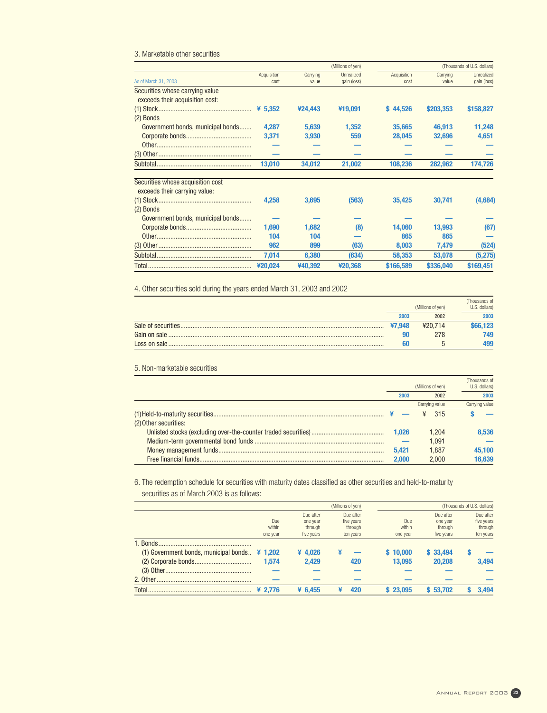## 3. Marketable other securities

|                                                                    |                     |                   | (Millions of yen)         |                     |                   | (Thousands of U.S. dollars) |
|--------------------------------------------------------------------|---------------------|-------------------|---------------------------|---------------------|-------------------|-----------------------------|
| As of March 31, 2003                                               | Acquisition<br>cost | Carrying<br>value | Unrealized<br>gain (loss) | Acquisition<br>cost | Carrying<br>value | Unrealized<br>gain (loss)   |
| Securities whose carrying value<br>exceeds their acquisition cost: |                     |                   |                           |                     |                   |                             |
|                                                                    |                     | ¥24,443           | ¥19,091                   | \$44,526            | \$203,353         | \$158,827                   |
| (2) Bonds                                                          |                     |                   |                           |                     |                   |                             |
| Government bonds, municipal bonds                                  | 4.287               | 5,639             | 1,352                     | 35,665              | 46,913            | 11,248                      |
|                                                                    | 3,371               | 3,930             | 559                       | 28,045              | 32,696            | 4,651                       |
|                                                                    |                     |                   |                           |                     |                   |                             |
|                                                                    |                     |                   |                           |                     |                   |                             |
|                                                                    | 13,010              | 34,012            | 21,002                    | 108,236             | 282,962           | 174,726                     |
| Securities whose acquisition cost<br>exceeds their carrying value: |                     |                   |                           |                     |                   |                             |
|                                                                    | 4,258               | 3,695             | (563)                     | 35,425              | 30,741            | (4,684)                     |
| (2) Bonds                                                          |                     |                   |                           |                     |                   |                             |
| Government bonds, municipal bonds                                  |                     |                   |                           |                     |                   |                             |
|                                                                    | 1,690               | 1,682             | (8)                       | 14,060              | 13,993            | (67)                        |
|                                                                    | 104                 | 104               |                           | 865                 | 865               |                             |
|                                                                    | 962                 | 899               | (63)                      | 8,003               | 7,479             | (524)                       |
|                                                                    | 7,014               | 6,380             | (634)                     | 58,353              | 53,078            | (5,275)                     |
|                                                                    | ¥20.024             | ¥40,392           | ¥20,368                   | \$166,589           | \$336,040         | \$169,451                   |

4. Other securities sold during the years ended March 31, 2003 and 2002

|                     |        | (Millions of yen) | (Thousands of<br>U.S. dollars) |
|---------------------|--------|-------------------|--------------------------------|
|                     | 2003   | 2002              | 2003                           |
| Sale of securities. | ¥7.948 | ¥20.714           | 666.123                        |
| Gain on sale        |        | 278               | 749                            |
|                     | 60     |                   | 499                            |

## 5. Non-marketable securities

|                       |       | (Millions of yen) | (Thousands of<br>U.S. dollars) |
|-----------------------|-------|-------------------|--------------------------------|
|                       | 2003  | 2002              | 2003                           |
|                       |       | Carrying value    | Carrying value                 |
|                       |       | 315               |                                |
| (2) Other securities: |       |                   |                                |
|                       | 1.026 | 1.204             | 8.536                          |
|                       |       | 1.091             |                                |
|                       | 5.421 | 1.887             | 45,100                         |
|                       | 2.000 | 2.000             | 16.639                         |

6. The redemption schedule for securities with maturity dates classified as other securities and held-to-maturity securities as of March 2003 is as follows:

|                                                       | (Millions of yen) |            |            |          |            | (Thousands of U.S. dollars) |
|-------------------------------------------------------|-------------------|------------|------------|----------|------------|-----------------------------|
|                                                       |                   | Due after  | Due after  |          | Due after  | Due after                   |
|                                                       | Due               | one year   | five years | Due      | one year   | five years                  |
|                                                       | within            | through    | through    | within   | through    | through                     |
|                                                       | one year          | five years | ten years  | one year | five years | ten years                   |
| 1. Bonds.                                             |                   |            |            |          |            |                             |
| (1) Government bonds, municipal bonds. $\angle$ 1,202 |                   | ¥ $4.026$  |            | \$10,000 | \$33,494   |                             |
|                                                       | 1.574             | 2,429      | 420        | 13.095   | 20,208     | 3,494                       |
|                                                       |                   |            |            |          |            |                             |
|                                                       |                   |            |            |          |            |                             |
|                                                       | ¥ 2.776           | ¥ 6.455    | 420<br>¥   | \$23,095 | \$53.702   | 3.494                       |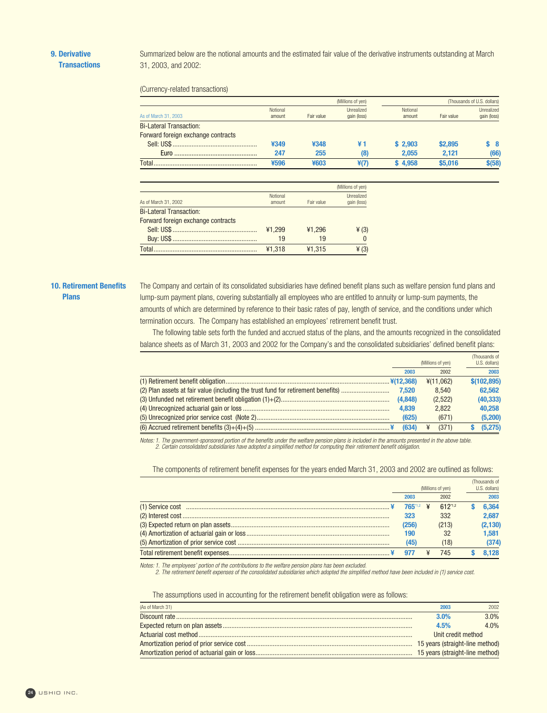Summarized below are the notional amounts and the estimated fair value of the derivative instruments outstanding at March 31, 2003, and 2002:

(Currency-related transactions)

L.

|                                    |                    |            | (Millions of yen)                |                    | (Thousands of U.S. dollars) |                           |
|------------------------------------|--------------------|------------|----------------------------------|--------------------|-----------------------------|---------------------------|
| As of March 31, 2003               | Notional<br>amount | Fair value | <b>Unrealized</b><br>gain (loss) | Notional<br>amount | Fair value                  | Unrealized<br>gain (loss) |
| <b>Bi-Lateral Transaction:</b>     |                    |            |                                  |                    |                             |                           |
| Forward foreign exchange contracts |                    |            |                                  |                    |                             |                           |
|                                    | ¥349               | ¥348       | ¥1                               | \$2.903            | \$2,895                     | S 8                       |
|                                    | 247                | 255        | (8)                              | 2,055              | 2.121                       | (66)                      |
| Total                              | ¥596               | ¥603       | ¥(7)                             | \$4.958            | \$5,016                     | $$$ (58)                  |

|                                    |                    |            | (Millions of yen)         |
|------------------------------------|--------------------|------------|---------------------------|
| As of March 31, 2002               | Notional<br>amount | Fair value | Unrealized<br>gain (loss) |
| <b>Bi-Lateral Transaction:</b>     |                    |            |                           |
| Forward foreign exchange contracts |                    |            |                           |
|                                    | ¥1.299             | ¥1.296     | $\angle(3)$               |
|                                    | 19                 | 19         |                           |
|                                    | ¥1.318             | ¥1,315     | $\angle(3)$               |
|                                    |                    |            |                           |

## **10. Retirement Benefits Plans**

The Company and certain of its consolidated subsidiaries have defined benefit plans such as welfare pension fund plans and lump-sum payment plans, covering substantially all employees who are entitled to annuity or lump-sum payments, the amounts of which are determined by reference to their basic rates of pay, length of service, and the conditions under which termination occurs. The Company has established an employees' retirement benefit trust.

The following table sets forth the funded and accrued status of the plans, and the amounts recognized in the consolidated balance sheets as of March 31, 2003 and 2002 for the Company's and the consolidated subsidiaries' defined benefit plans:

|                                                                                  |                   |       |           | (Thousands of |
|----------------------------------------------------------------------------------|-------------------|-------|-----------|---------------|
|                                                                                  | (Millions of yen) |       |           | U.S. dollars) |
|                                                                                  |                   | 2003  | 2002      | 2003          |
|                                                                                  |                   |       | ¥(11,062) | \$(102, 895)  |
| (2) Plan assets at fair value (including the trust fund for retirement benefits) | 7.520             |       | 8.540     | 62.562        |
|                                                                                  | (4,848)           |       | (2,522)   | (40, 333)     |
|                                                                                  | 4.839             |       | 2.822     | 40.258        |
|                                                                                  |                   | (625) | (671)     | (5,200)       |
|                                                                                  |                   | (634) | (371)     | (5,275)       |
|                                                                                  |                   |       |           |               |

Notes: 1. The government-sponsored portion of the benefits under the welfare pension plans is included in the amounts presented in the above table. 2. Certain consolidated subsidiaries have adopted a simplified method for computing their retirement benefit obligation.

The components of retirement benefit expenses for the years ended March 31, 2003 and 2002 are outlined as follows:

|                             |  |                   | (Thousands of |          |
|-----------------------------|--|-------------------|---------------|----------|
|                             |  | (Millions of yen) | U.S. dollars) |          |
| 2003                        |  | 2002              |               | 2003     |
| <b>765</b> <sup>1,2</sup> ¥ |  | 612*1.2           |               | 6.364    |
| 323                         |  | 332               |               | 2.687    |
| (256)                       |  | (213)             |               | (2, 130) |
| 190                         |  | 32                |               | 1.581    |
| (45)                        |  | (18)              |               | (374)    |
|                             |  | 745               |               | .128     |

Notes: 1. The employees' portion of the contributions to the welfare pension plans has been excluded.<br>2. The retirement benefit expenses of the consolidated subsidiaries which adopted the simplified method have been includ

The assumptions used in accounting for the retirement benefit obligation were as follows:

| (As of March 31) | 2003               | 2002 |  |
|------------------|--------------------|------|--|
|                  | 3.0%               | 3.0% |  |
|                  | 4.5%               | 4.0% |  |
|                  | Unit credit method |      |  |
|                  |                    |      |  |
|                  |                    |      |  |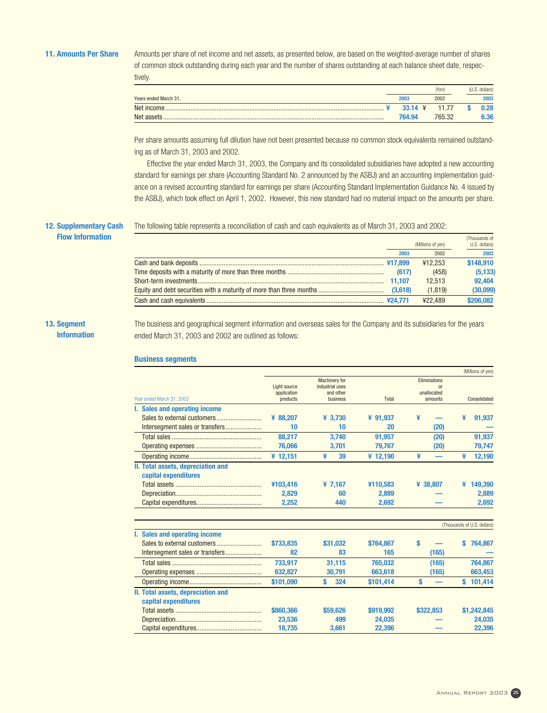**11. Amounts Per Share** Amounts per share of net income and net assets, as presented below, are based on the weighted-average number of shares of common stock outstanding during each year and the number of shares outstanding at each balance sheet date, respectively.

|                       |                     | (Yen)  | dollars) |
|-----------------------|---------------------|--------|----------|
| Years ended March 31. | 2003                | 2002   | 2003     |
|                       | 33.14 $\frac{1}{2}$ | 11.77  | 0.28     |
| Net assets            | 764.94              | 765.32 | 6.36     |

Per share amounts assuming full dilution have not been presented because no common stock equivalents remained outstanding as of March 31, 2003 and 2002.

Effective the year ended March 31, 2003, the Company and its consolidated subsidiaries have adopted a new accounting standard for earnings per share (Accounting Standard No. 2 announced by the ASBJ) and an accounting implementation guidance on a revised accounting standard for earnings per share (Accounting Standard Implementation Guidance No. 4 issued by the ASBJ), which took effect on April 1, 2002. However, this new standard had no material impact on the amounts per share.

# **12. Supplementary Cash**

The following table represents a reconciliation of cash and cash equivalents as of March 31, 2003 and 2002:

**Flow Information**

|        |                   | (Thousands of |
|--------|-------------------|---------------|
|        | (Millions of yen) | U.S. dollars) |
| 2003   | 2002              | 2003          |
|        | ¥12.253           | \$148,910     |
|        | (458)             | (5, 133)      |
| 11.107 | 12.513            | 92,404        |
|        | (1.819)           | (30,099)      |
|        | ¥22.489           | \$206,082     |

## **13. Segment Information**

The business and geographical segment information and overseas sales for the Company and its subsidiaries for the years ended March 31, 2003 and 2002 are outlined as follows:

## **Business segments**

|              |                                                     |                                        |                         | (Millions of yen)                   |
|--------------|-----------------------------------------------------|----------------------------------------|-------------------------|-------------------------------------|
| Light source | <b>Machinery for</b><br>industrial uses             |                                        | Eliminations<br>or      |                                     |
|              |                                                     |                                        |                         | Consolidated                        |
|              |                                                     |                                        |                         |                                     |
|              |                                                     |                                        |                         |                                     |
|              |                                                     |                                        |                         | ¥<br>91,937                         |
|              |                                                     |                                        |                         |                                     |
|              | 3,740                                               | 91,957                                 | (20)                    | 91,937                              |
| 76,066       | 3,701                                               | 79,767                                 | (20)                    | 79,747                              |
| ¥ 12,151     | ¥<br>39                                             | ¥ 12,190                               | ¥<br>-                  | ¥<br>12,190                         |
|              |                                                     |                                        |                         |                                     |
|              |                                                     |                                        |                         |                                     |
| ¥103,416     | ¥7,167                                              | ¥110,583                               | ¥ 38,807                | 149,390                             |
| 2,829        | 60                                                  | 2.889                                  |                         | 2,889                               |
| 2,252        | 440                                                 | 2,692                                  |                         | 2,692                               |
|              |                                                     |                                        |                         | (Thousands of U.S. dollars)         |
|              |                                                     |                                        |                         |                                     |
| \$733,835    | \$31,032                                            | \$764,867                              | s                       | 764,867<br>s                        |
| 82           | 83                                                  | 165                                    | (165)                   |                                     |
| 733.917      | 31,115                                              | 765.032                                | (165)                   | 764.867                             |
| 632,827      | 30,791                                              | 663,618                                | (165)                   | 663,453                             |
| \$101,090    | Ś<br>324                                            | \$101,414                              | Ś                       | 101,414<br>S                        |
|              |                                                     |                                        |                         |                                     |
|              |                                                     |                                        |                         |                                     |
| \$860,366    | \$59,626                                            | \$919,992                              | \$322,853               | \$1,242,845                         |
| 23,536       | 499                                                 | 24,035                                 |                         | 24,035                              |
| 18,735       | 3,661                                               | 22,396                                 |                         | 22,396                              |
|              | application<br>products<br>¥ 88.207<br>10<br>88,217 | and other<br>business<br>¥ 3.730<br>10 | Total<br>¥ 91,937<br>20 | unallocated<br>amounts<br>¥<br>(20) |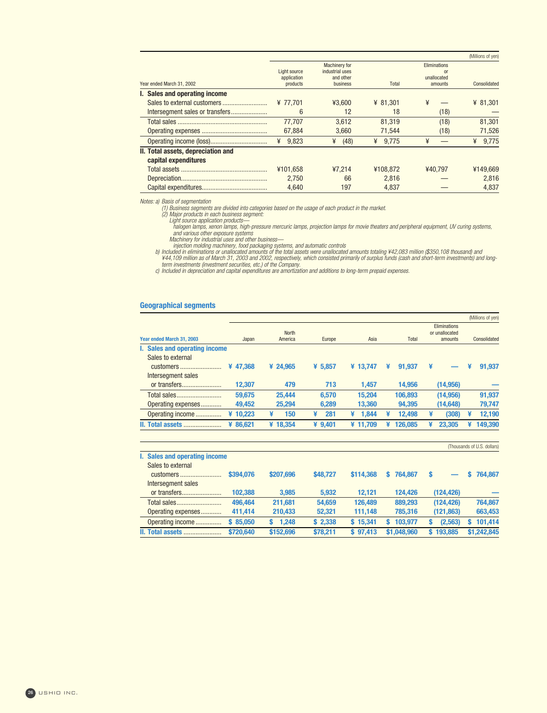|                                    |              |                      |            |               | (Millions of yen) |
|------------------------------------|--------------|----------------------|------------|---------------|-------------------|
|                                    |              | <b>Machinery for</b> |            | Eliminations  |                   |
|                                    | Light source | industrial uses      |            | <sub>or</sub> |                   |
|                                    | application  | and other            |            | unallocated   |                   |
| Year ended March 31, 2002          | products     | business             | Total      | amounts       | Consolidated      |
| I. Sales and operating income      |              |                      |            |               |                   |
|                                    | ¥ 77.701     | ¥3.600               | ¥ 81.301   | ¥             | ¥ 81.301          |
|                                    | 6            | 12                   | 18         | (18)          |                   |
|                                    | 77.707       | 3.612                | 81.319     | (18)          | 81,301            |
|                                    | 67,884       | 3,660                | 71,544     | (18)          | 71,526            |
|                                    | 9.823<br>¥   | ¥<br>(48)            | 9.775<br>¥ | ¥             | 9.775<br>¥        |
| II. Total assets, depreciation and |              |                      |            |               |                   |
| capital expenditures               |              |                      |            |               |                   |
|                                    | ¥101.658     | 47.214               | ¥108.872   | ¥40.797       | ¥149.669          |
|                                    | 2.750        | 66                   | 2.816      |               | 2.816             |
|                                    | 4.640        | 197                  | 4.837      |               | 4.837             |

Notes: a) Basis of segmentation

(1) Business segments are divided into categories based on the usage of each product in the market.<br>(2) Major products in each business segment:<br>Light source application products—

halogen lamps, xenon lamps, high-pressure mercuric lamps, projection lamps for movie theaters and peripheral equipment, UV curing systems,<br>and various other exposure systems<br>Machinery for industrial uses and other business

## **Geographical segments**

|                               |              |           |            |              |                | (Millions of yen) |
|-------------------------------|--------------|-----------|------------|--------------|----------------|-------------------|
|                               |              |           |            |              | Eliminations   |                   |
|                               | <b>North</b> |           |            |              | or unallocated |                   |
|                               |              |           |            |              |                | Consolidated      |
| I. Sales and operating income |              |           |            |              |                |                   |
|                               |              |           |            |              |                |                   |
| ¥47,368                       | ¥ 24,965     | ¥ 5,857   | ¥ 13.747   | ¥<br>91.937  | ¥              | 91,937<br>¥       |
|                               |              |           |            |              |                |                   |
| 12,307                        | 479          | 713       | 1.457      | 14,956       | (14,956)       |                   |
| 59.675                        | 25,444       | 6.570     | 15.204     | 106,893      | (14,956)       | 91,937            |
| 49.452                        | 25,294       | 6,289     | 13,360     | 94,395       | (14, 648)      | 79,747            |
| ¥ 10.223                      | 150<br>¥     | 281<br>¥  | 1.844<br>¥ | 12.498<br>¥  | (308)<br>¥     | 12,190<br>¥       |
| ¥ 86.621                      | ¥ 18.354     | ¥ $9.401$ | ¥ 11.709   | 126.085<br>¥ | 23.305<br>¥    | 149.390<br>¥      |
|                               | Japan        | America   | Europe     | Asia         | <b>Total</b>   | amounts           |

|                               |           |             |          |           |              |            | (Thousands of U.S. dollars) |
|-------------------------------|-----------|-------------|----------|-----------|--------------|------------|-----------------------------|
| I. Sales and operating income |           |             |          |           |              |            |                             |
| Sales to external             |           |             |          |           |              |            |                             |
| customers                     | \$394,076 | \$207,696   | \$48,727 | \$114,368 | 764.867<br>S | S          | 764.867                     |
| Intersegment sales            |           |             |          |           |              |            |                             |
| or transfers                  | 102.388   | 3.985       | 5.932    | 12.121    | 124.426      | (124, 426) |                             |
|                               | 496.464   | 211.681     | 54.659   | 126.489   | 889,293      | (124.426)  | 764.867                     |
| Operating expenses            | 411.414   | 210,433     | 52,321   | 111.148   | 785,316      | (121, 863) | 663,453                     |
| Operating income              | \$85,050  | 1.248<br>S. | \$2.338  | \$15.341  | 103.977<br>S | (2,563)    | 101.414<br>S                |
| <b>II. Total assets</b>       | \$720,640 | \$152,696   | \$78.211 | \$97.413  | \$1,048,960  | \$193.885  | \$1.242.845                 |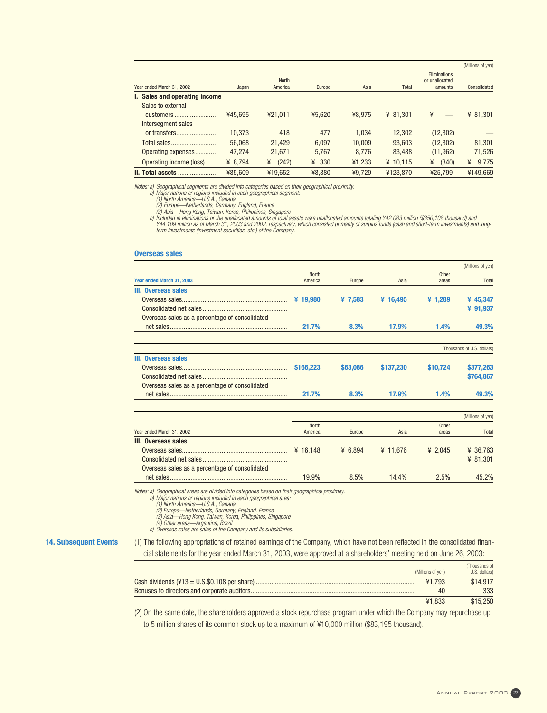|                               |         |              |          |        |            |                | (Millions of yen) |
|-------------------------------|---------|--------------|----------|--------|------------|----------------|-------------------|
|                               |         |              |          |        |            | Eliminations   |                   |
|                               |         | <b>North</b> |          |        |            | or unallocated |                   |
| Year ended March 31, 2002     | Japan   | America      | Europe   | Asia   | Total      | amounts        | Consolidated      |
| I. Sales and operating income |         |              |          |        |            |                |                   |
| Sales to external             |         |              |          |        |            |                |                   |
| customers                     | ¥45.695 | ¥21.011      | ¥5.620   | ¥8.975 | ¥ 81.301   | ¥              | ¥ $81,301$        |
| Intersegment sales            |         |              |          |        |            |                |                   |
| or transfers                  | 10.373  | 418          | 477      | 1.034  | 12,302     | (12, 302)      |                   |
| Total sales                   | 56,068  | 21.429       | 6,097    | 10.009 | 93,603     | (12, 302)      | 81,301            |
| Operating expenses            | 47.274  | 21,671       | 5,767    | 8.776  | 83.488     | (11, 962)      | 71,526            |
| Operating income (loss)       | ¥ 8.794 | (242)<br>¥   | 330<br>¥ | ¥1.233 | ¥ $10.115$ | (340)<br>¥     | 9,775<br>¥        |
| II. Total assets              | ¥85.609 | ¥19.652      | ¥8.880   | ¥9.729 | ¥123.870   | ¥25.799        | ¥149.669          |

Notes: a) Geographical segments are divided into categories based on their geographical proximity.

b) Major nations or regions included in each geographical segment:<br>(1) North America—U.S.A., Canada<br>(2) Europe—Netherlands, Germany, England, France<br>(3) Asia—Hong Kong, Taiwan, Korea, Philippines, Singapore<br>() Included in

term investments (investment securities, etc.) of the Company.

#### **Overseas sales**

|                                                |                         |           |            |                | <i><b>INTITURIS OF VELLE</b></i> |
|------------------------------------------------|-------------------------|-----------|------------|----------------|----------------------------------|
| Year ended March 31, 2003                      | <b>North</b><br>America | Europe    | Asia       | Other<br>areas | Total                            |
| III. Overseas sales                            |                         |           |            |                |                                  |
|                                                | ¥ $19,980$              | ¥ 7,583   | ¥ $16,495$ | ¥ $1,289$      | ¥ 45,347                         |
|                                                |                         |           |            |                | ¥ 91,937                         |
| Overseas sales as a percentage of consolidated |                         |           |            |                |                                  |
|                                                | 21.7%                   | 8.3%      | 17.9%      | 1.4%           | 49.3%                            |
|                                                |                         |           |            |                | (Thousands of U.S. dollars)      |
| III. Overseas sales                            |                         |           |            |                |                                  |
|                                                | \$166,223               | \$63,086  | \$137,230  | \$10,724       | \$377,263                        |
|                                                |                         |           |            |                | \$764,867                        |
| Overseas sales as a percentage of consolidated |                         |           |            |                |                                  |
|                                                | 21.7%                   | 8.3%      | 17.9%      | 1.4%           | 49.3%                            |
|                                                |                         |           |            |                | (Millions of yen)                |
|                                                | <b>North</b>            |           |            | Other          |                                  |
| Year ended March 31, 2002                      | America                 | Europe    | Asia       | areas          | Total                            |
| III. Overseas sales                            |                         |           |            |                |                                  |
|                                                | ¥ $16.148$              | ¥ $6.894$ | ¥ $11.676$ | ¥ 2.045        | ¥ 36,763                         |
|                                                |                         |           |            |                | ¥ $81,301$                       |
| Overseas sales as a percentage of consolidated |                         |           |            |                |                                  |
|                                                | 19.9%                   | 8.5%      | 14.4%      | 2.5%           | 45.2%                            |

Notes: a) Geographical areas are divided into categories based on their geographical proximity.

b) Major nations or regions included in each geographical area: (1) North America—U.S.A., Canada

(2) Europe—Netherlands, Germany, England, France (3) Asia—Hong Kong, Taiwan, Korea, Philippines, Singapore (4) Other areas—Argentina, Brazil

c) Overseas sales are sales of the Company and its subsidiaries.

**14. Subsequent Events** (1) The following appropriations of retained earnings of the Company, which have not been reflected in the consolidated financial statements for the year ended March 31, 2003, were approved at a shareholders' meeting held on June 26, 2003:

| (Millions of ven) | (Thousands of<br>U.S. dollars) |
|-------------------|--------------------------------|
| 41.793            | \$14,917                       |
| 40                | 333                            |
| ¥1.833            | \$15,250                       |

(2) On the same date, the shareholders approved a stock repurchase program under which the Company may repurchase up to 5 million shares of its common stock up to a maximum of ¥10,000 million (\$83,195 thousand).

(Millions of yen)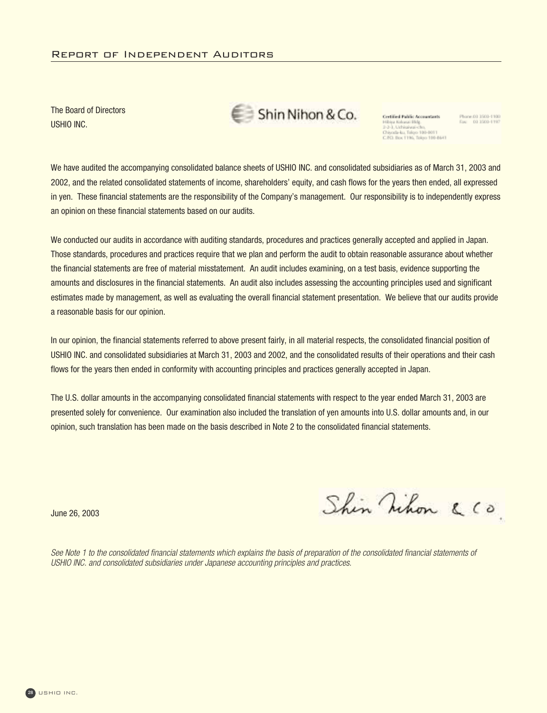The Board of Directors USHIO INC.

Shin Nihon & Co.

Certified Public Accountants Hibiya Kolozai Bidg.<br>2-2-3, Uchisaiwai-cho,<br>Chigoda-ku, Tokyo 100-0011<br>C.P.D. Box 1196, Tokyo 100-8641 Phone 03 3503-1100<br>Fax: 03 3503-1197

We have audited the accompanying consolidated balance sheets of USHIO INC. and consolidated subsidiaries as of March 31, 2003 and 2002, and the related consolidated statements of income, shareholders' equity, and cash flows for the years then ended, all expressed in yen. These financial statements are the responsibility of the Company's management. Our responsibility is to independently express an opinion on these financial statements based on our audits.

We conducted our audits in accordance with auditing standards, procedures and practices generally accepted and applied in Japan. Those standards, procedures and practices require that we plan and perform the audit to obtain reasonable assurance about whether the financial statements are free of material misstatement. An audit includes examining, on a test basis, evidence supporting the amounts and disclosures in the financial statements. An audit also includes assessing the accounting principles used and significant estimates made by management, as well as evaluating the overall financial statement presentation. We believe that our audits provide a reasonable basis for our opinion.

In our opinion, the financial statements referred to above present fairly, in all material respects, the consolidated financial position of USHIO INC. and consolidated subsidiaries at March 31, 2003 and 2002, and the consolidated results of their operations and their cash flows for the years then ended in conformity with accounting principles and practices generally accepted in Japan.

The U.S. dollar amounts in the accompanying consolidated financial statements with respect to the year ended March 31, 2003 are presented solely for convenience. Our examination also included the translation of yen amounts into U.S. dollar amounts and, in our opinion, such translation has been made on the basis described in Note 2 to the consolidated financial statements.

June 26, 2003

Shin Nihon & Co.

See Note 1 to the consolidated financial statements which explains the basis of preparation of the consolidated financial statements of USHIO INC. and consolidated subsidiaries under Japanese accounting principles and practices.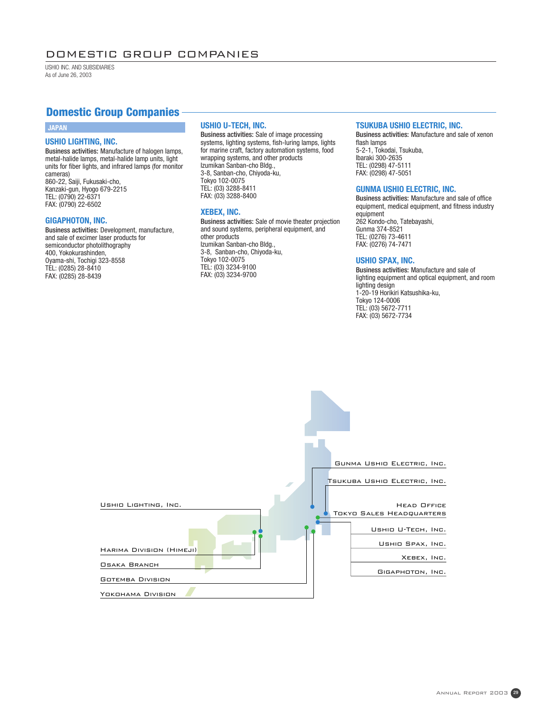## DOMESTIC GROUP COMPANIES

USHIO INC. AND SUBSIDIARIES As of June 26, 2003

## **Domestic Group Companies**

## **USHIO LIGHTING, INC.**

Business activities: Manufacture of halogen lamps, metal-halide lamps, metal-halide lamp units, light units for fiber lights, and infrared lamps (for monitor cameras) 860-22, Saiji, Fukusaki-cho, Kanzaki-gun, Hyogo 679-2215 TEL: (0790) 22-6371 FAX: (0790) 22-6502

## **GIGAPHOTON, INC.**

Business activities: Development, manufacture, and sale of excimer laser products for semiconductor photolithography 400, Yokokurashinden, Oyama-shi, Tochigi 323-8558 TEL: (0285) 28-8410 FAX: (0285) 28-8439

## **JAPAN USHIO U-TECH, INC.**

Business activities: Sale of image processing systems, lighting systems, fish-luring lamps, lights for marine craft, factory automation systems, food wrapping systems, and other products Izumikan Sanban-cho Bldg., 3-8, Sanban-cho, Chiyoda-ku, Tokyo 102-0075 TEL: (03) 3288-8411 FAX: (03) 3288-8400

## **XEBEX, INC.**

Business activities: Sale of movie theater projection and sound systems, peripheral equipment, and other products Izumikan Sanban-cho Bldg., 3-8, Sanban-cho, Chiyoda-ku, Tokyo 102-0075 TEL: (03) 3234-9100 FAX: (03) 3234-9700

## **TSUKUBA USHIO ELECTRIC, INC.**

Business activities: Manufacture and sale of xenon flash lamps 5-2-1, Tokodai, Tsukuba, Ibaraki 300-2635 TEL: (0298) 47-5111 FAX: (0298) 47-5051

## **GUNMA USHIO ELECTRIC, INC.**

Business activities: Manufacture and sale of office equipment, medical equipment, and fitness industry equipment 262 Kondo-cho, Tatebayashi, Gunma 374-8521 TEL: (0276) 73-4611 FAX: (0276) 74-7471

## **USHIO SPAX, INC.**

Business activities: Manufacture and sale of lighting equipment and optical equipment, and room lighting design 1-20-19 Horikiri Katsushika-ku, Tokyo 124-0006 TEL: (03) 5672-7711 FAX: (03) 5672-7734

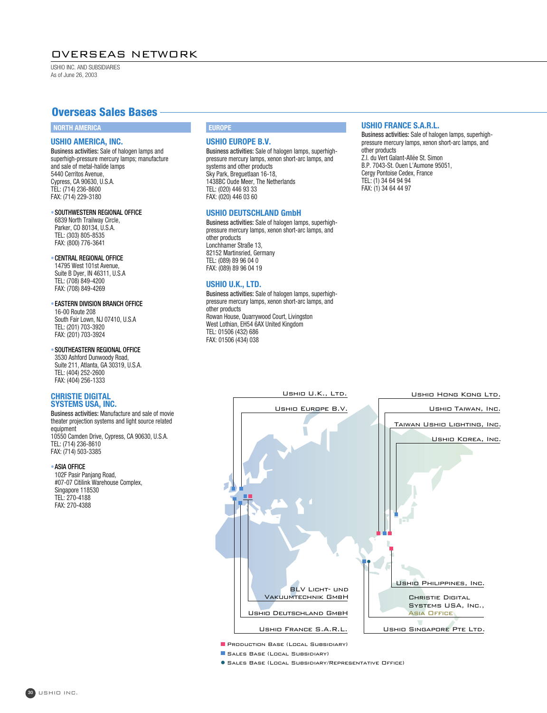## OVERSEAS NETWORK

USHIO INC. AND SUBSIDIARIES As of June 26, 2003

## **Overseas Sales Bases**

## **NORTH AMERICA**

#### **USHIO AMERICA, INC.**

Business activities: Sale of halogen lamps and superhigh-pressure mercury lamps; manufacture and sale of metal-halide lamps 5440 Cerritos Avenue, Cypress, CA 90630, U.S.A. TEL: (714) 236-8600 FAX: (714) 229-3180

## •SOUTHWESTERN REGIONAL OFFICE

6839 North Trailway Circle, Parker, CO 80134, U.S.A. TEL: (303) 805-8535 FAX: (800) 776-3641

## •CENTRAL REGIONAL OFFICE

14795 West 101st Avenue, Suite B Dyer, IN 46311, U.S.A TEL: (708) 849-4200 FAX: (708) 849-4269

#### •EASTERN DIVISION BRANCH OFFICE

16-00 Route 208 South Fair Lown, NJ 07410, U.S.A TEL: (201) 703-3920 FAX: (201) 703-3924

## •SOUTHEASTERN REGIONAL OFFICE

3530 Ashford Dunwoody Road, Suite 211, Atlanta, GA 30319, U.S.A. TEL: (404) 252-2600 FAX: (404) 256-1333

## **CHRISTIE DIGITAL SYSTEMS USA, INC.**

Business activities: Manufacture and sale of movie theater projection systems and light source related equipment 10550 Camden Drive, Cypress, CA 90630, U.S.A. TEL: (714) 236-8610 FAX: (714) 503-3385

#### •ASIA OFFICE

102F Pasir Panjang Road, #07-07 Citilink Warehouse Complex, Singapore 118530 TEL: 270-4188 FAX: 270-4388

## **EUROPE**

## **USHIO EUROPE B.V.**

Business activities: Sale of halogen lamps, superhighpressure mercury lamps, xenon short-arc lamps, and systems and other products Sky Park, Breguetlaan 16-18, 1438BC Oude Meer, The Netherlands TEL: (020) 446 93 33 FAX: (020) 446 03 60

## **USHIO DEUTSCHLAND GmbH**

Business activities: Sale of halogen lamps, superhighpressure mercury lamps, xenon short-arc lamps, and other products Lonchhamer Straße 13, 82152 Martinsried, Germany TEL: (089) 89 96 04 0 FAX: (089) 89 96 04 19

## **USHIO U.K., LTD.**

Business activities: Sale of halogen lamps, superhighpressure mercury lamps, xenon short-arc lamps, and other products Rowan House, Quarrywood Court, Livingston West Lothian, EH54 6AX United Kingdom TEL: 01506 (432) 686 FAX: 01506 (434) 038

## **USHIO FRANCE S.A.R.L.**

Business activities: Sale of halogen lamps, superhighpressure mercury lamps, xenon short-arc lamps, and other products Z.I. du Vert Galant-Allée St. Simon B.P. 7043-St. Ouen L'Aumone 95051, Cergy Pontoise Cedex, France TEL: (1) 34 64 94 94 FAX: (1) 34 64 44 97



Sales Base (Local Subsidiary)

Sales Base (Local Subsidiary/Representative Office)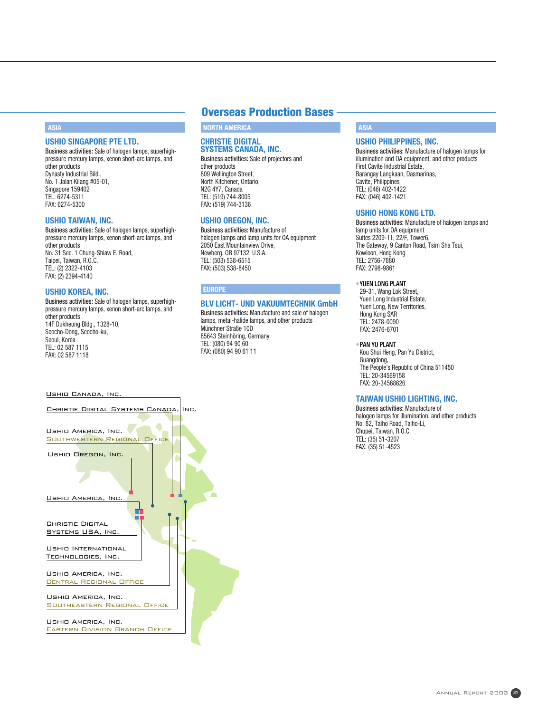## **ASIA**

## **USHIO SINGAPORE PTE LTD.**

Business activities: Sale of halogen lamps, superhighpressure mercury lamps, xenon short-arc lamps, and other products Dynasty Industrial Bild., No. 1 Jalan Kilang #05-01, Singapore 159402 TEL: 6274-5311 FAX: 6274-5300

### **USHIO TAIWAN, INC.**

Business activities: Sale of halogen lamps, superhighpressure mercury lamps, xenon short-arc lamps, and other products No. 31 Sec. 1 Chung-Shiaw E. Road, Taipei, Taiwan, R.O.C. TEL: (2) 2322-4103 FAX: (2) 2394-4140

## **USHIO KOREA, INC.**

Business activities: Sale of halogen lamps, superhighpressure mercury lamps, xenon short-arc lamps, and other products 14F Dukheung Bldg., 1328-10, Seocho-Dong, Seocho-ku, Seoul, Korea TEL: 02 587 1115 FAX: 02 587 1118

#### Ushio Canada, Inc.



## **Overseas Production Bases**

**NORTH AMERICA**

## **CHRISTIE DIGITAL SYSTEMS CANADA, INC.**

Business activities: Sale of projectors and other products 809 Wellington Street, North Kitchener, Ontario, N2G 4Y7, Canada TEL: (519) 744-8005 FAX: (519) 744-3136

## **USHIO OREGON, INC.**

Business activities: Manufacture of halogen lamps and lamp units for OA equipment 2050 East Mountainview Drive, Newberg, OR 97132, U.S.A. TEL: (503) 538-6515 FAX: (503) 538-8450

## **EUROPE**

## **BLV LICHT- UND VAKUUMTECHNIK GmbH**

Business activities: Manufacture and sale of halogen lamps, metal-halide lamps, and other products Münchner Straße 10D 85643 Steinhöring, Germany TEL: (080) 94 90 60 FAX: (080) 94 90 61 11

## **ASIA**

## **USHIO PHILIPPINES, INC.**

Business activities: Manufacture of halogen lamps for illumination and OA equipment, and other products First Cavite Industrial Estate, Barangay Langkaan, Dasmarinas, Cavite, Philippines TEL: (046) 402-1422 FAX: (046) 402-1421

## **USHIO HONG KONG LTD.**

Business activities: Manufacture of halogen lamps and lamp units for OA equipment Suites 2209-11, 22/F, Tower6, The Gateway, 9 Canton Road, Tsim Sha Tsui, Kowloon, Hong Kong TEL: 2756-7880 FAX: 2798-9861

## •YUEN LONG PLANT

29-31, Wang Lok Street, Yuen Long Industrial Estate, Yuen Long, New Territories, Hong Kong SAR TEL: 2478-0090 FAX: 2476-6701

#### •PAN YU PLANT

Kou Shui Heng, Pan Yu District, Guangdong, The People's Republic of China 511450 TEL: 20-34569158 FAX: 20-34568626

## **TAIWAN USHIO LIGHTING, INC.**

Business activities: Manufacture of halogen lamps for illumination, and other products No. 82, Taiho Road, Taiho-Li, Chupei, Taiwan, R.O.C. TEL: (35) 51-3207 FAX: (35) 51-4523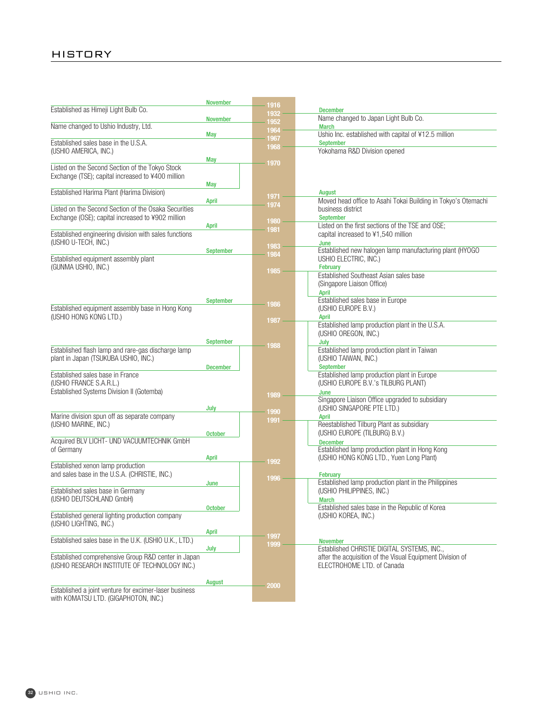## HISTORY

|                                                                            | <b>November</b>  | 1916    |                                                                                         |
|----------------------------------------------------------------------------|------------------|---------|-----------------------------------------------------------------------------------------|
| Established as Himeji Light Bulb Co.                                       |                  | 1932    | <b>December</b>                                                                         |
|                                                                            | <b>November</b>  | 1952    | Name changed to Japan Light Bulb Co.                                                    |
| Name changed to Ushio Industry, Ltd.                                       |                  | 1964    | <b>March</b>                                                                            |
|                                                                            | <b>May</b>       | 1967    | Ushio Inc. established with capital of ¥12.5 million                                    |
| Established sales base in the U.S.A.                                       |                  | 1968    | <b>September</b>                                                                        |
| (USHIO AMERICA, INC.)                                                      |                  |         | Yokohama R&D Division opened                                                            |
|                                                                            | <b>May</b>       | 1970    |                                                                                         |
| Listed on the Second Section of the Tokyo Stock                            |                  |         |                                                                                         |
| Exchange (TSE); capital increased to ¥400 million                          |                  |         |                                                                                         |
|                                                                            | <b>May</b>       |         |                                                                                         |
| Established Harima Plant (Harima Division)                                 |                  | 1971    | August                                                                                  |
|                                                                            | April            | 1974    | Moved head office to Asahi Tokai Building in Tokyo's Otemachi                           |
| Listed on the Second Section of the Osaka Securities                       |                  |         | business district                                                                       |
| Exchange (OSE); capital increased to ¥902 million                          |                  | 1980    | <b>September</b>                                                                        |
|                                                                            | April            | 1981    | Listed on the first sections of the TSE and OSE;                                        |
| Established engineering division with sales functions                      |                  |         | capital increased to ¥1,540 million                                                     |
| (USHIO U-TECH, INC.)                                                       |                  | 1983    | June                                                                                    |
|                                                                            | September        | 1984    | Established new halogen lamp manufacturing plant (HYOGO                                 |
| Established equipment assembly plant                                       |                  |         | USHIO ELECTRIC, INC.)                                                                   |
| (GUNMA USHIO, INC.)                                                        |                  | 1985    | <b>February</b>                                                                         |
|                                                                            |                  |         | Established Southeast Asian sales base                                                  |
|                                                                            |                  |         | (Singapore Liaison Office)                                                              |
|                                                                            |                  |         | April                                                                                   |
|                                                                            | <b>September</b> | 1986    | Established sales base in Europe                                                        |
| Established equipment assembly base in Hong Kong<br>(USHIO HONG KONG LTD.) |                  |         | (USHIO EUROPE B.V.)<br>April                                                            |
|                                                                            |                  | 1987    | Established lamp production plant in the U.S.A.                                         |
|                                                                            |                  |         | (USHIO OREGON, INC.)                                                                    |
|                                                                            | September        |         | July                                                                                    |
| Established flash lamp and rare-gas discharge lamp                         |                  | 1988    | Established lamp production plant in Taiwan                                             |
| plant in Japan (TSUKUBA USHIO, INC.)                                       |                  |         | (USHIO TAIWAN, INC.)                                                                    |
|                                                                            | <b>December</b>  |         | September                                                                               |
| Established sales base in France                                           |                  |         | Established lamp production plant in Europe                                             |
| (USHIO FRANCE S.A.R.L.)                                                    |                  |         | (USHIO EUROPE B.V.'s TILBURG PLANT)                                                     |
| Established Systems Division II (Gotemba)                                  |                  |         | June                                                                                    |
|                                                                            |                  | 1989    | Singapore Liaison Office upgraded to subsidiary                                         |
|                                                                            | July             |         | (USHIO SINGAPORE PTE LTD.)                                                              |
| Marine division spun off as separate company                               |                  | 1990    | <b>April</b>                                                                            |
| (USHIO MARINE, INC.)                                                       |                  | 1991    | Reestablished Tilburg Plant as subsidiary                                               |
|                                                                            | <b>October</b>   |         | (USHIO EUROPE (TILBURG) B.V.)                                                           |
| Acquired BLV LICHT- UND VACUUMTECHNIK GmbH                                 |                  |         | <b>December</b>                                                                         |
| of Germany                                                                 |                  |         | Established lamp production plant in Hong Kong                                          |
|                                                                            | April            | 1992    | (USHIO HONG KONG LTD., Yuen Long Plant)                                                 |
| Established xenon lamp production                                          |                  |         |                                                                                         |
| and sales base in the U.S.A. (CHRISTIE, INC.)                              |                  | 1996    | February                                                                                |
|                                                                            | June             |         | Established lamp production plant in the Philippines                                    |
| Established sales base in Germany                                          |                  |         | (USHIO PHILIPPINES, INC.)                                                               |
| (USHIO DEUTSCHLAND GmbH)                                                   |                  |         | March                                                                                   |
|                                                                            | <b>October</b>   |         | Established sales base in the Republic of Korea                                         |
| Established general lighting production company                            |                  |         | (USHIO KOREA, INC.)                                                                     |
| (USHIO LIGHTING, INC.)                                                     |                  |         |                                                                                         |
|                                                                            | <b>April</b>     | 1997    |                                                                                         |
| Established sales base in the U.K. (USHIO U.K., LTD.)                      |                  | 1999    | <b>November</b>                                                                         |
|                                                                            | July             |         | Established CHRISTIE DIGITAL SYSTEMS, INC.,                                             |
| Established comprehensive Group R&D center in Japan                        |                  |         | after the acquisition of the Visual Equipment Division of<br>ELECTROHOME LTD. of Canada |
| (USHIO RESEARCH INSTITUTE OF TECHNOLOGY INC.)                              |                  |         |                                                                                         |
|                                                                            | August           |         |                                                                                         |
| Established a joint venture for excimer-laser business                     |                  | $-2000$ |                                                                                         |
| with KOMATSU LTD. (GIGAPHOTON, INC.)                                       |                  |         |                                                                                         |
|                                                                            |                  |         |                                                                                         |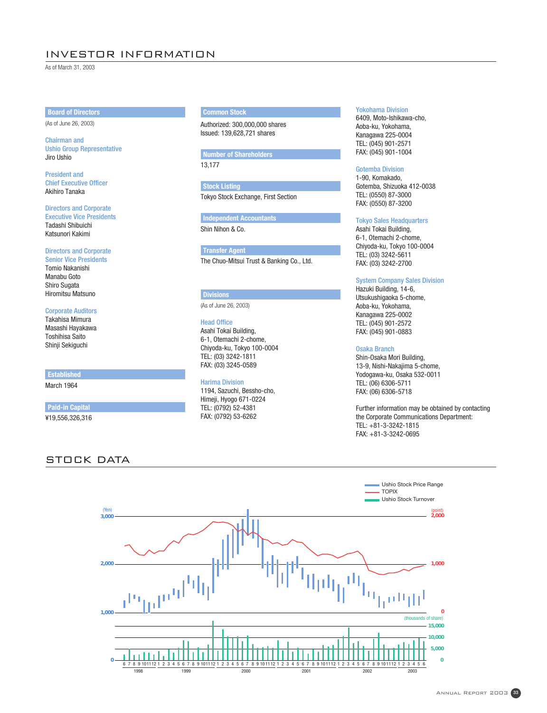## INVESTOR INFORMATION

As of March 31, 2003

## **Board of Directors**

(As of June 26, 2003)

## Chairman and Ushio Group Representative Jiro Ushio

President and Chief Executive Officer Akihiro Tanaka

#### Directors and Corporate Executive Vice Presidents

Tadashi Shibuichi Katsunori Kakimi

## Directors and Corporate

Senior Vice Presidents Tomio Nakanishi Manabu Goto Shiro Sugata Hiromitsu Matsuno

## Corporate Auditors

Takahisa Mimura Masashi Hayakawa Toshihisa Saito Shinji Sekiguchi

## **Established**

March 1964

**Paid-in Capital**

¥19,556,326,316

## STOCK DATA

## **Common Stock**

Authorized: 300,000,000 shares Issued: 139,628,721 shares

## **Number of Shareholders**

13,177

Tokyo Stock Exchange, First Section **Stock Listing**

Shin Nihon & Co. **Independent Accountants**

The Chuo-Mitsui Trust & Banking Co., Ltd. **Transfer Agent**

## **Divisions**

(As of June 26, 2003)

## Head Office

Asahi Tokai Building, 6-1, Otemachi 2-chome, Chiyoda-ku, Tokyo 100-0004 TEL: (03) 3242-1811 FAX: (03) 3245-0589

### Harima Division

1194, Sazuchi, Bessho-cho, Himeji, Hyogo 671-0224 TEL: (0792) 52-4381 FAX: (0792) 53-6262

## Yokohama Division

6409, Moto-Ishikawa-cho, Aoba-ku, Yokohama, Kanagawa 225-0004 TEL: (045) 901-2571 FAX: (045) 901-1004

## Gotemba Division

1-90, Komakado, Gotemba, Shizuoka 412-0038 TEL: (0550) 87-3000 FAX: (0550) 87-3200

## Tokyo Sales Headquarters

Asahi Tokai Building, 6-1, Otemachi 2-chome, Chiyoda-ku, Tokyo 100-0004 TEL: (03) 3242-5611 FAX: (03) 3242-2700

## System Company Sales Division

Hazuki Building, 14-6, Utsukushigaoka 5-chome, Aoba-ku, Yokohama, Kanagawa 225-0002 TEL: (045) 901-2572 FAX: (045) 901-0883

### Osaka Branch

Shin-Osaka Mori Building, 13-9, Nishi-Nakajima 5-chome, Yodogawa-ku, Osaka 532-0011 TEL: (06) 6306-5711 FAX: (06) 6306-5718

Further information may be obtained by contacting the Corporate Communications Department: TEL: +81-3-3242-1815 FAX: +81-3-3242-0695